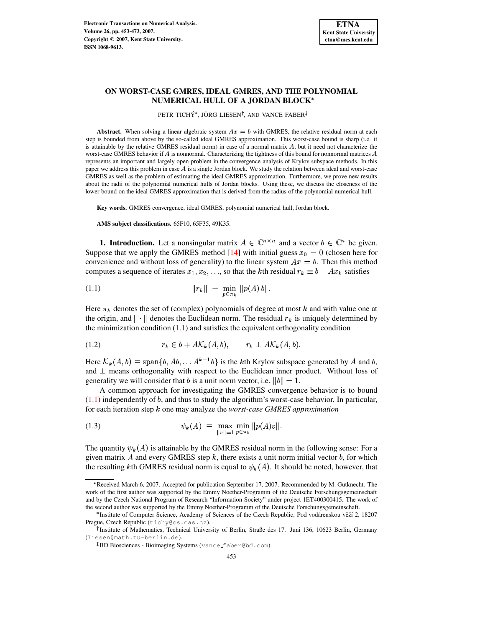

# **ON WORST-CASE GMRES, IDEAL GMRES, AND THE POLYNOMIAL NUMERICAL HULL OF A JORDAN BLOCK**

PETR TICHÝ\*, JÖRG LIESEN<sup>†</sup>, AND VANCE FABER<sup>‡</sup>

**Abstract.** When solving a linear algebraic system  $Ax = b$  with GMRES, the relative residual norm at each step is bounded from above by the so-called ideal GMRES approximation. This worst-case bound is sharp (i.e. it is attainable by the relative GMRES residual norm) in case of a normal matrix  $A$ , but it need not characterize the worst-case GMRES behavior if  $A$  is nonnormal. Characterizing the tightness of this bound for nonnormal matrices  $A$ represents an important and largely open problem in the convergence analysis of Krylov subspace methods. In this paper we address this problem in case  $A$  is a single Jordan block. We study the relation between ideal and worst-case GMRES as well as the problem of estimating the ideal GMRES approximation. Furthermore, we prove new results about the radii of the polynomial numerical hulls of Jordan blocks. Using these, we discuss the closeness of the lower bound on the ideal GMRES approximation that is derived from the radius of the polynomial numerical hull.

**Key words.** GMRES convergence, ideal GMRES, polynomial numerical hull, Jordan block.

**AMS subject classifications.** 65F10, 65F35, 49K35.

**1. Introduction.** Let a nonsingular matrix  $A \in \mathbb{C}^{n \times n}$  and a vector  $b \in \mathbb{C}^n$  be given. Suppose that we apply the GMRES method [\[14\]](#page-20-0) with initial guess  $x_0 = 0$  (chosen here for convenience and without loss of generality) to the linear system  $Ax = b$ . Then this method computes a sequence of iterates  $x_1, x_2, \ldots$ , so that the kth residual  $r_k \equiv b - Ax_k$  satisfies

<span id="page-0-0"></span>(1.1) 
$$
||r_k|| = \min_{p \in \pi_k} ||p(A) b||.
$$

Here  $\pi_k$  denotes the set of (complex) polynomials of degree at most k and with value one at the origin, and  $\|\cdot\|$  denotes the Euclidean norm. The residual  $r_k$  is uniquely determined by the minimization condition  $(1.1)$  and satisfies the equivalent orthogonality condition

<span id="page-0-2"></span>
$$
(1.2) \t\t r_k \in b + A\mathcal{K}_k(A, b), \t r_k \perp A\mathcal{K}_k(A, b).
$$

Here  $\mathcal{K}_k(A, b) \equiv \text{span}\{b, Ab, \ldots A^{k-1}b\}$  is the kth Krylov subspace generated by A and b, and  $\perp$  means orthogonality with respect to the Euclidean inner product. Without loss of generality we will consider that b is a unit norm vector, i.e.  $||b|| = 1$ . .

A common approach for investigating the GMRES convergence behavior is to bound  $(1.1)$  independently of b, and thus to study the algorithm's worst-case behavior. In particular, for each iteration step  $k$  one may analyze the *worst-case GMRES approximation* 

<span id="page-0-1"></span>(1.3) 
$$
\psi_k(A) \equiv \max_{\|v\|=1} \min_{p \in \pi_k} \|p(A)v\|.
$$

The quantity  $\psi_k(A)$  is attainable by the GMRES residual norm in the following sense: For a given matrix A and every GMRES step  $k$ , there exists a unit norm initial vector  $b$ , for which the resulting kth GMRES residual norm is equal to  $\psi_k(A)$ . It should be noted, however, that

<sup>\*</sup> Received March 6, 2007. Accepted for publication September 17, 2007. Recommended by M. Gutknecht. The work of the first author was supported by the Emmy Noether-Programm of the Deutsche Forschungsgemeinschaft and by the Czech National Program of Research "Information Society" under project 1ET400300415. The work of the second author was supported by the Emmy Noether-Programm of the Deutsche Forschungsgemeinschaft.

Institute of Computer Science, Academy of Sciences of the Czech Republic, Pod vodárenskou věží 2, 18207\* Prague, Czech Republic (tichy@cs.cas.cz).

<sup>&</sup>lt;sup>†</sup> Institute of Mathematics, Technical University of Berlin, Straße des 17. Juni 136, 10623 Berlin, Germany (liesen@math.tu-berlin.de).

 $^\ddagger$ BD Biosciences - Bioimaging Systems (vance\_faber@bd.com).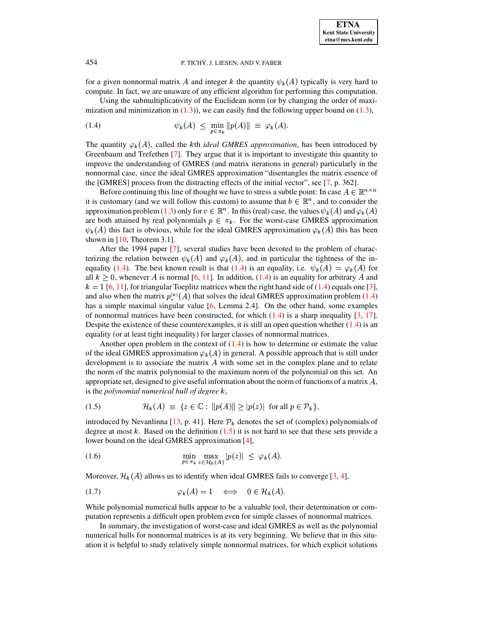for a given nonnormal matrix A and integer k the quantity  $\psi_k(A)$  typically is very hard to compute. In fact, we are unaware of any efficient algorithm for performing this computation.

Using the submultiplicativity of the Euclidean norm (or by changing the order of maximization and minimization in  $(1.3)$ , we can easily find the following upper bound on  $(1.3)$ ,

<span id="page-1-0"></span>
$$
(1.4) \t\t\t \psi_k(A) \leq \min_{n \in \pi} \|p(A)\| \equiv \varphi_k(A).
$$

The quantity  $\varphi_k(A)$ , called the *k*th *ideal GMRES approximation*, has been introduced by Greenbaum and Trefethen [\[7\]](#page-20-1). They argue that it is important to investigate this quantity to improve the understanding of GMRES (and matrix iterations in general) particularly in the nonnormal case, since the ideal GMRES approximation "disentangles the matrix essence of the [GMRES] process from the distracting effects of the initial vector", see [\[7,](#page-20-1) p. 362].

Before continuing this line of thought we have to stress a subtle point: In case  $A \in \mathbb{R}^{n \times n}$ it is customary (and we will follow this custom) to assume that  $b \in \mathbb{R}^n$ , and to consider the approximation problem [\(1.3\)](#page-0-1) only for  $v \in \mathbb{R}^n$ . In this (real) case, the values  $\psi_k(A)$  and  $\varphi_k(A)$ are both attained by real polynomials  $p \in \pi_k$ . For the worst-case GMRES approximation  $\psi_k(A)$  this fact is obvious, while for the ideal GMRES approximation  $\varphi_k(A)$  this has been shown in [\[10,](#page-20-2) Theorem 3.1].

After the 1994 paper [\[7\]](#page-20-1), several studies have been devoted to the problem of characterizing the relation between  $\psi_k(A)$  and  $\varphi_k(A)$ , and in particular the tightness of the in-equality [\(1.4\)](#page-1-0). The best known result is that (1.4) is an equality, i.e.  $\psi_k(A) = \varphi_k(A)$  for all  $k \geq 0$ , whenever A is normal [\[6,](#page-20-3) [11\]](#page-20-4). In addition, [\(1.4\)](#page-1-0) is an equality for arbitrary A and  $k = 1$  [\[6,](#page-20-3) [11\]](#page-20-4), for triangular Toeplitz matrices when the right hand side of [\(1.4\)](#page-1-0) equals one [\[3\]](#page-20-5), and also when the matrix  $p_{\star}^{(k)}(A)$  that solves the ideal GMRES approximation problem [\(1.4\)](#page-1-0) has a simple maximal singular value [\[6,](#page-20-3) Lemma 2.4]. On the other hand, some examples of nonnormal matrices have been constructed, for which  $(1.4)$  is a sharp inequality [\[3,](#page-20-5) [17\]](#page-20-6). Despite the existence of these counterexamples, it is still an open question whether  $(1.4)$  is an equality (or at least tight inequality) for larger classes of nonnormal matrices.

Another open problem in the context of  $(1.4)$  is how to determine or estimate the value of the ideal GMRES approximation  $\varphi_k(A)$  in general. A possible approach that is still under development is to associate the matrix  $A$  with some set in the complex plane and to relate the norm of the matrix polynomial to the maximum norm of the polynomial on this set. An appropriate set, designed to give useful information about the norm of functions of a matrix  $A$ , is the *polynomial numerical hull of degree*  $k$ ,

<span id="page-1-1"></span>
$$
(1.5) \t\t\t\mathcal{H}_k(A) \equiv \{ z \in \mathbb{C} : ||p(A)|| \ge |p(z)| \text{ for all } p \in \mathcal{P}_k \},
$$

introduced by Nevanlinna [\[13,](#page-20-7) p. 41]. Here  $\mathcal{P}_k$  denotes the set of (complex) polynomials of degree at most  $k$ . Based on the definition  $(1.5)$  it is not hard to see that these sets provide a lower bound on the ideal GMRES approximation [\[4\]](#page-20-8),

<span id="page-1-2"></span>(1.6) 
$$
\min_{p \in \pi_k} \max_{z \in \mathcal{H}_k(A)} |p(z)| \leq \varphi_k(A).
$$

Moreover,  $\mathcal{H}_k(A)$  allows us to identify when ideal GMRES fails to converge [\[3,](#page-20-5) [4\]](#page-20-8),

$$
\varphi_k(A) = 1 \quad \Longleftrightarrow \quad 0 \in \mathcal{H}_k(A).
$$

While polynomial numerical hulls appear to be a valuable tool, their determination or computation represents a difficult open problem even for simple classes of nonnormal matrices.

In summary, the investigation of worst-case and ideal GMRES as well as the polynomial numerical hulls for nonnormal matrices is at its very beginning. We believe that in this situation it is helpful to study relatively simple nonnormal matrices, for which explicit solutions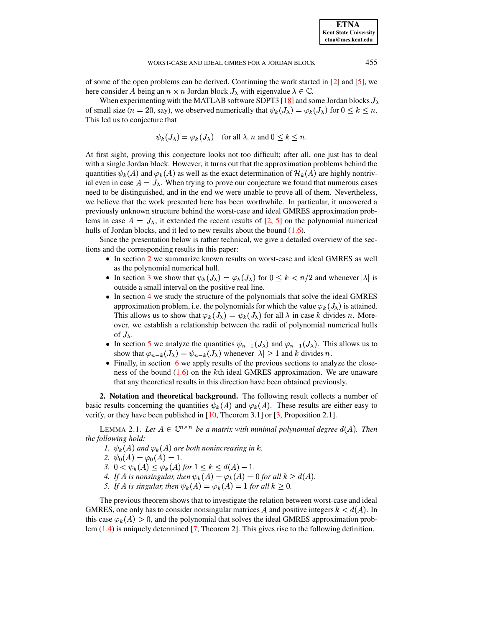of some of the open problems can be derived. Continuing the work started in [\[2\]](#page-20-9) and [\[5\]](#page-20-10), we here consider A being an  $n \times n$  Jordan block  $J_{\lambda}$  with eigenvalue  $\lambda \in \mathbb{C}$ .

When experimenting with the MATLAB software SDPT3 [\[18\]](#page-20-11) and some Jordan blocks  $J_{\lambda}$ of small size  $(n = 20, \text{say})$ , we observed numerically that  $\psi_k(J_\lambda) = \varphi_k(J_\lambda)$  for  $0 \leq k \leq n$ . This led us to conjecture that

$$
\psi_k(J_\lambda) = \varphi_k(J_\lambda)
$$
 for all  $\lambda, n$  and  $0 \leq k \leq n$ .

At first sight, proving this conjecture looks not too difficult; after all, one just has to deal with a single Jordan block. However, it turns out that the approximation problems behind the quantities  $\psi_k(A)$  and  $\varphi_k(A)$  as well as the exact determination of  $\mathcal{H}_k(A)$  are highly nontrivial even in case  $A = J_{\lambda}$ . When trying to prove our conjecture we found that numerous cases need to be distinguished, and in the end we were unable to prove all of them. Nevertheless, we believe that the work presented here has been worthwhile. In particular, it uncovered a previously unknown structure behind the worst-case and ideal GMRES approximation problems in case  $A = J_{\lambda}$ , it extended the recent results of [\[2,](#page-20-9) [5\]](#page-20-10) on the polynomial numerical hulls of Jordan blocks, and it led to new results about the bound [\(1.6\)](#page-1-2).

Since the presentation below is rather technical, we give a detailed overview of the sections and the corresponding results in this paper:

- In section [2](#page-2-0) we summarize known results on worst-case and ideal GMRES as well as the polynomial numerical hull.
- In section [3](#page-5-0) we show that  $\psi_k(J_\lambda) = \varphi_k(J_\lambda)$  for  $0 \leq k < n/2$  and whenever  $|\lambda|$  is outside a small interval on the positive real line.
- In section [4](#page-7-0) we study the structure of the polynomials that solve the ideal GMRES approximation problem, i.e. the polynomials for which the value  $\varphi_k(J_\lambda)$  is attained. This allows us to show that  $\varphi_k(J_\lambda) = \psi_k(J_\lambda)$  for all  $\lambda$  in case k divides n. Moreover, we establish a relationship between the radii of polynomial numerical hulls of  $J_{\lambda}$ .
- In section [5](#page-13-0) we analyze the quantities  $\psi_{n-1}(J_\lambda)$  and  $\varphi_{n-1}(J_\lambda)$ . This allows us to show that  $\varphi_{n-k}(J_\lambda) = \psi_{n-k}(J_\lambda)$  whenever  $|\lambda| \geq 1$  and k divides n.
- Finally, in section [6](#page-17-0) we apply results of the previous sections to analyze the closeness of the bound  $(1.6)$  on the k<sup>th</sup> ideal GMRES approximation. We are unaware that any theoretical results in this direction have been obtained previously.

<span id="page-2-0"></span>**2. Notation and theoretical background.** The following result collects a number of basic results concerning the quantities  $\psi_k(A)$  and  $\varphi_k(A)$ . These results are either easy to verify, or they have been published in [\[10,](#page-20-2) Theorem 3.1] or [\[3,](#page-20-5) Proposition 2.1].

<span id="page-2-1"></span>LEMMA 2.1. Let  $A \in \mathbb{C}^{n \times n}$  be a matrix with minimal polynomial degree  $d(A)$ . Then *the following hold:*

- *1.*  $\psi_k(A)$  and  $\varphi_k(A)$  are both nonincreasing in k.
- 2.  $\psi_0(A) = \varphi_0(A) = 1$ .
- *3.*  $0 < \psi_k(A) \leq \varphi_k(A)$  for  $1 \leq k \leq d(A) 1$ . *.*
- 4. If A is nonsingular, then  $\psi_k(A) = \varphi_k(A) = 0$  for all  $k \ge d(A)$ .
- *5.* If A is singular, then  $\psi_k(A) = \varphi_k(A) = 1$  for all  $k \geq 0$ .

The previous theorem shows that to investigate the relation between worst-case and ideal GMRES, one only has to consider nonsingular matrices A and positive integers  $k < d(A)$ . In this case  $\varphi_k(A) > 0$ , and the polynomial that solves the ideal GMRES approximation problem [\(1.4\)](#page-1-0) is uniquely determined [\[7,](#page-20-1) Theorem 2]. This gives rise to the following definition.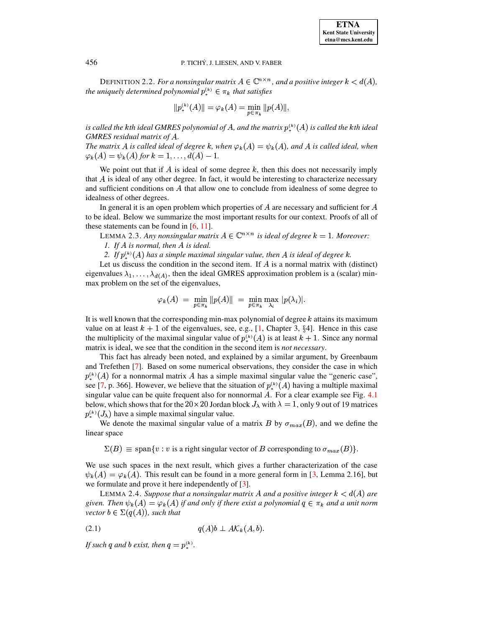DEFINITION 2.2. *For a nonsingular matrix*  $A \in \mathbb{C}^{n \times n}$ *, and a positive integer*  $k < d(A)$ *, the uniquely determined polynomial*  $p_{\ast}^{(k)} \in \pi_k$  *that satisfies* 

$$
||p_*^{(k)}(A)|| = \varphi_k(A) = \min_{p \in \pi_k} ||p(A)||,
$$

is called the kth ideal GMRES polynomial of A, and the matrix  $p_*^{(k)}(A)$  is called the kth ideal *GMRES residual matrix of .*

*The matrix A is called ideal of degree k, when*  $\varphi_k(A) = \psi_k(A)$ *, and A is called ideal, when*  $\varphi_k(A) = \psi_k(A)$  for  $k = 1, ..., d(A) - 1$ . *.*

We point out that if  $A$  is ideal of some degree  $k$ , then this does not necessarily imply that  $A$  is ideal of any other degree. In fact, it would be interesting to characterize necessary and sufficient conditions on  $A$  that allow one to conclude from idealness of some degree to idealness of other degrees.

<span id="page-3-3"></span>In general it is an open problem which properties of  $A$  are necessary and sufficient for  $A$ to be ideal. Below we summarize the most important results for our context. Proofs of all of these statements can be found in [\[6,](#page-20-3) [11\]](#page-20-4).

LEMMA 2.3. Any nonsingular matrix  $A \in \mathbb{C}^{n \times n}$  is ideal of degree  $k = 1$ . Moreover: *1. If is normal, then is ideal.*

2. If  $p_*^{(k)}(A)$  has a simple maximal singular value, then A is ideal of degree k.

Let us discuss the condition in the second item. If  $A$  is a normal matrix with (distinct) eigenvalues  $\lambda_1, \ldots, \lambda_{d(A)}$ , then the ideal GMRES approximation problem is a (scalar) minmax problem on the set of the eigenvalues,

$$
\varphi_k(A) = \min_{p \in \pi_k} \|p(A)\| = \min_{p \in \pi_k} \max_{\lambda_i} |p(\lambda_i)|.
$$

It is well known that the corresponding min-max polynomial of degree  $k$  attains its maximum value on at least  $k + 1$  of the eigenvalues, see, e.g., [\[1,](#page-20-12) Chapter 3, §4]. Hence in this case the multiplicity of the maximal singular value of  $p_*^{(k)}(A)$  is at least  $k + 1$ . Since any normal matrix is ideal, we see that the condition in the second item is *not necessary*.

This fact has already been noted, and explained by a similar argument, by Greenbaum and Trefethen [\[7\]](#page-20-1). Based on some numerical observations, they consider the case in which  $p_{\ast}^{(k)}(A)$  for a nonnormal matrix A has a simple maximal singular value the "generic case", see [\[7,](#page-20-1) p. 366]. However, we believe that the situation of  $p_*^{(*)}(A)$  having a multiple maximal singular value can be quite frequent also for nonnormal A. For a clear example see Fig. [4.1](#page-11-0) below, which shows that for the  $20 \times 20$  Jordan block  $J_{\lambda}$  with  $\lambda = 1$ , only 9 out of 19 matrices  $p_{\ast}^{(k)}(J_{\lambda})$  have a simple maximal singular value.

We denote the maximal singular value of a matrix B by  $\sigma_{max}(B)$ , and we define the linear space

 $\Sigma(B) \equiv \text{span}\{v : v \text{ is a right singular vector of } B \text{ corresponding to } \sigma_{max}(B)\}.$ 

We use such spaces in the next result, which gives a further characterization of the case  $\psi_k(A) = \varphi_k(A)$ . This result can be found in a more general form in [\[3,](#page-20-5) Lemma 2.16], but we formulate and prove it here independently of [\[3\]](#page-20-5).

<span id="page-3-2"></span>LEMMA 2.4. *Suppose that a nonsingular matrix A and a positive integer*  $k < d(A)$  are given. Then  $\psi_k(A) = \varphi_k(A)$  if and only if there exist a polynomial  $q \in \pi_k$  and a unit norm  $\forall x \in \Sigma(q(A)),$  such that

<span id="page-3-0"></span>
$$
(2.1) \t\t q(A)b \perp A\mathcal{K}_k(A,b).
$$

*If* such q and b exist, then  $q = p_*^{(k)}$ .

<span id="page-3-1"></span>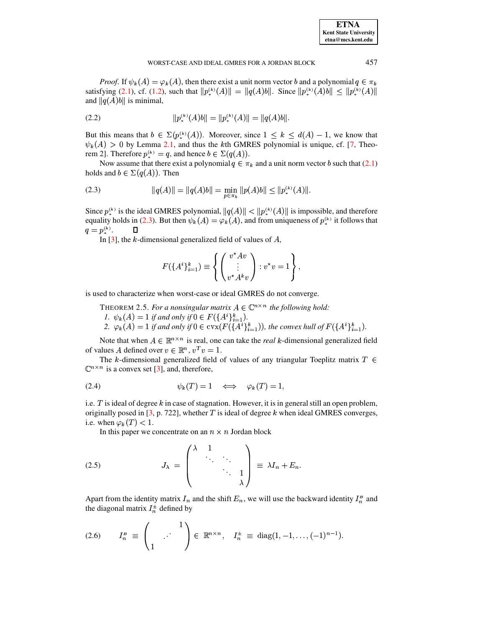*Proof.* If  $\psi_k(A) = \varphi_k(A)$ , then there exist a unit norm vector b and a polynomial  $q \in \pi_k$ satisfying [\(2.1\)](#page-3-0), cf. [\(1.2\)](#page-0-2), such that  $||p_{\ast}^{(k)}(A)|| = ||q(A)b||$ . Since  $||p_{\ast}^{(k)}(A)b|| \le ||p_{\ast}^{(k)}(A)||$ and  $||q(A)b||$  is minimal,

$$
||p_*^{(k)}(A)b|| = ||p_*^{(k)}(A)|| = ||q(A)b||.
$$

But this means that  $b \in \Sigma(p_*^{(k)}(A))$ . Moreover, since  $1 \leq k \leq d(A) - 1$ , we know that  $\psi_k(A) > 0$  by Lemma [2.1,](#page-2-1) and thus the kth GMRES polynomial is unique, cf. [\[7,](#page-20-1) Theorem 2]. Therefore  $p_*^{(k)} = q$ , and hence  $b \in \Sigma(q(A))$ .

Now assume that there exist a polynomial  $q \in \pi_k$  and a unit norm vector b such that [\(2.1\)](#page-3-0) holds and  $b \in \Sigma(q(A))$ . Then

<span id="page-4-0"></span>(2.3) 
$$
||q(A)|| = ||q(A)b|| = \min_{p \in \pi_k} ||p(A)b|| \le ||p_*^{(k)}(A)||.
$$

Since  $p_*^{(k)}$  is the ideal GMRES polynomial,  $||q(A)|| < ||p_*^{(k)}(A)||$  is impossible, and therefore equality holds in [\(2.3\)](#page-4-0). But then  $\psi_k(A) = \varphi_k(A)$ , and from uniqueness of  $p_*^{(k)}$  it follows that  $q=p^{(k)}_*$ .  $\qquad \Box$ 

In  $[3]$ , the k-dimensional generalized field of values of  $A$ ,

$$
F(\lbrace A^i \rbrace_{i=1}^k) \equiv \left\{ \begin{pmatrix} v^* A v \\ \vdots \\ v^* A^k v \end{pmatrix} : v^* v = 1 \right\},
$$

is used to characterize when worst-case or ideal GMRES do not converge.

THEOREM 2.5. For a nonsingular matrix  $A \in \mathbb{C}^{n \times n}$  the following hold: *1.*  $\psi_k(A) = 1$  if and only if  $0 \in F(\lbrace A^i \rbrace_{i=1}^k)$ . C*.*

2.  $\varphi_k(A) = 1$  *if and only if*  $0 \in \text{cvx}(F(\lbrace A^i \rbrace_{i=1}^k))$ , the con )), the convex hull of  $F({A<sup>i</sup>}_{i=1}^k)$ . C*.*

Note that when  $A \in \mathbb{R}^{n \times n}$  is real, one can take the *real* k-dimensional generalized field of values A defined over  $v \in \mathbb{R}^n$ ,  $v^T v = 1$ .

The k-dimensional generalized field of values of any triangular Toeplitz matrix  $T \in$  $\mathbb{C}^{n \times n}$  is a convex set [\[3\]](#page-20-5), and, therefore,

<span id="page-4-1"></span>
$$
\psi_k(T) = 1 \quad \Longleftrightarrow \quad \varphi_k(T) = 1,
$$

i.e. T is ideal of degree  $k$  in case of stagnation. However, it is in general still an open problem, originally posed in [\[3,](#page-20-5) p. 722], whether  $T$  is ideal of degree  $k$  when ideal GMRES converges, i.e. when  $\varphi_k(T) < 1$ .

In this paper we concentrate on an  $n \times n$  Jordan block

$$
(2.5) \t\t J_{\lambda} = \begin{pmatrix} \lambda & 1 & & \\ & \ddots & \ddots & \\ & & \ddots & 1 \\ & & & \lambda \end{pmatrix} \equiv \lambda I_n + E_n.
$$

Apart from the identity matrix  $I_n$  and the shift  $E_n$ , we will use the backward identity  $I_n^B$  and the diagonal matrix  $I_n^{\pm}$  defined by

<span id="page-4-2"></span>
$$
(2.6) \tInB \equiv \begin{pmatrix} 1 \\ 1 \end{pmatrix} \in \mathbb{R}^{n \times n}, \tIn± \equiv \text{diag}(1, -1, ..., (-1)^{n-1}).
$$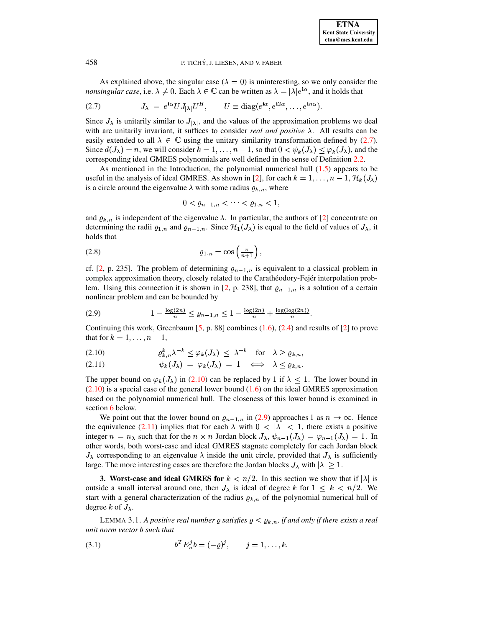

As explained above, the singular case ( $\lambda = 0$ ) is uninteresting, so we only consider the *nonsingular case*, i.e.  $\lambda \neq 0$ . Each  $\lambda \in \mathbb{C}$  can be written as  $\lambda = |\lambda|e^{i\alpha}$ , and it holds that

<span id="page-5-1"></span>(2.7) 
$$
J_{\lambda} = e^{i\alpha} U J_{|\lambda|} U^H, \qquad U \equiv \text{diag}(e^{i\alpha}, e^{i2\alpha}, \dots, e^{i n\alpha}).
$$

Since  $J_{\lambda}$  is unitarily similar to  $J_{|\lambda|}$ , and the values of the approximation problems we deal with are unitarily invariant, it suffices to consider *real and positive*  $\lambda$ . All results can be easily extended to all  $\lambda \in \mathbb{C}$  using the unitary similarity transformation defined by (2.7). Since  $d(J_\lambda) = n$ , we will consider  $k = 1, ..., n-1$ , so that  $0 < \psi_k(J_\lambda) \leq \varphi_k(J_\lambda)$ , and the corresponding ideal GMRES polynomials are well defined in the sense of Definition 2.2.

As mentioned in the Introduction, the polynomial numerical hull  $(1.5)$  appears to be useful in the analysis of ideal GMRES. As shown in [2], for each  $k = 1, ..., n - 1, \mathcal{H}_k(J_\lambda)$ is a circle around the eigenvalue  $\lambda$  with some radius  $\rho_{k,n}$ , where

$$
0 < \varrho_{n-1,n} < \cdots < \varrho_{1,n} < 1,
$$

and  $\rho_{k,n}$  is independent of the eigenvalue  $\lambda$ . In particular, the authors of [2] concentrate on determining the radii  $\varrho_{1,n}$  and  $\varrho_{n-1,n}$ . Since  $\mathcal{H}_1(J_\lambda)$  is equal to the field of values of  $J_\lambda$ , it holds that

<span id="page-5-6"></span>

cf. [2, p. 235]. The problem of determining  $\rho_{n-1,n}$  is equivalent to a classical problem in complex approximation theory, closely related to the Carathéodory-Fejér interpolation problem. Using this connection it is shown in [2, p. 238], that  $\varrho_{n-1,n}$  is a solution of a certain nonlinear problem and can be bounded by

<span id="page-5-3"></span>
$$
(2.9) \t 1 - \frac{\log(2n)}{n} \le \varrho_{n-1,n} \le 1 - \frac{\log(2n)}{n} + \frac{\log(\log(2n))}{n}
$$

Continuing this work, Greenbaum [5, p. 88] combines  $(1.6)$ ,  $(2.4)$  and results of [2] to prove that for  $k = 1, \ldots, n-1$ ,

<span id="page-5-2"></span>
$$
(2.10) \quad \rho_{k,n}^k \lambda^{-k} \le \varphi_k(J_\lambda) \le \lambda^{-k} \quad \text{for} \quad \lambda \ge \varrho_{k,n},
$$

$$
(2.11) \t\t \psi_k(J_\lambda) = \varphi_k(J_\lambda) = 1 \iff \lambda \le \varrho_{k,n}
$$

The upper bound on  $\varphi_k(J_\lambda)$  in (2.10) can be replaced by 1 if  $\lambda \leq 1$ . The lower bound in  $(2.10)$  is a special case of the general lower bound  $(1.6)$  on the ideal GMRES approximation based on the polynomial numerical hull. The closeness of this lower bound is examined in section 6 below.

We point out that the lower bound on  $\varrho_{n-1,n}$  in (2.9) approaches 1 as  $n \to \infty$ . Hence the equivalence (2.11) implies that for each  $\lambda$  with  $0 < |\lambda| < 1$ , there exists a positive integer  $n = n_{\lambda}$  such that for the  $n \times n$  Jordan block  $J_{\lambda}, \psi_{n-1}(J_{\lambda}) = \varphi_{n-1}(J_{\lambda}) = 1$ . In other words, both worst-case and ideal GMRES stagnate completely for each Jordan block  $J_{\lambda}$  corresponding to an eigenvalue  $\lambda$  inside the unit circle, provided that  $J_{\lambda}$  is sufficiently large. The more interesting cases are therefore the Jordan blocks  $J_{\lambda}$  with  $|\lambda| \geq 1$ .

<span id="page-5-0"></span>**3.** Worst-case and ideal GMRES for  $k < n/2$ . In this section we show that if  $|\lambda|$  is outside a small interval around one, then  $J_{\lambda}$  is ideal of degree k for  $1 \leq k < n/2$ . We start with a general characterization of the radius  $\rho_{k,n}$  of the polynomial numerical hull of degree k of  $J_{\lambda}$ .

<span id="page-5-5"></span>LEMMA 3.1. A positive real number  $\rho$  satisfies  $\rho \leq \rho_{k,n}$ , if and only if there exists a real unit norm vector b such that

<span id="page-5-4"></span>(3.1) 
$$
b^T E_n^j b = (-\varrho)^j, \qquad j = 1, ..., k.
$$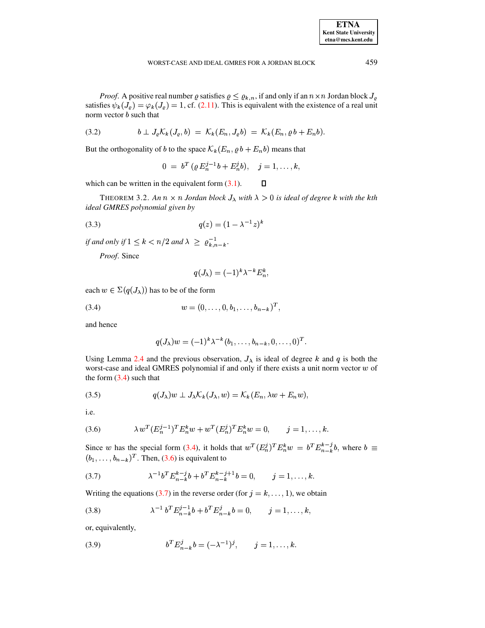*Proof.* A positive real number  $\varrho$  satisfies  $\varrho \leq \varrho_{k,n}$ , if and only if an  $n \times n$  Jordan block  $J_{\varrho}$ satisfies  $\psi_k(J_\ell) = \varphi_k(J_\ell) = 1$ , cf. (2.11). This is equivalent with the existence of a real unit norm vector  $b$  such that

$$
(3.2) \t\t b \perp J_{\varrho} \mathcal{K}_k(J_{\varrho},b) = \mathcal{K}_k(E_n,J_{\varrho}b) = \mathcal{K}_k(E_n,\varrho b+E_n b).
$$

But the orthogonality of b to the space  $\mathcal{K}_k(E_n, \varrho b + E_n b)$  means that

$$
0 = b^T (\varrho E_n^{j-1} b + E_n^j b), \quad j = 1, \ldots, k,
$$

<span id="page-6-4"></span> $\Box$ which can be written in the equivalent form  $(3.1)$ .

THEOREM 3.2. An  $n \times n$  Jordan block  $J_{\lambda}$  with  $\lambda > 0$  is ideal of degree k with the kth ideal GMRES polynomial given by

(3.3) 
$$
q(z) = (1 - \lambda^{-1}z)^k
$$

if and only if  $1 \leq k < n/2$  and  $\lambda \geq \varrho_{k,n-k}^{-1}$ .

Proof. Since

$$
q(J_{\lambda}) = (-1)^{k} \lambda^{-k} E_{n}^{k},
$$

each  $w \in \Sigma(q(J_{\lambda}))$  has to be of the form

<span id="page-6-0"></span>(3.4) 
$$
w = (0, \ldots, 0, b_1, \ldots, b_{n-k})^T,
$$

and hence

$$
q(J_\lambda)w = (-1)^k \lambda^{-k} (b_1,\ldots,b_{n-k},0,\ldots,0)^T.
$$

Using Lemma 2.4 and the previous observation,  $J_{\lambda}$  is ideal of degree k and q is both the worst-case and ideal GMRES polynomial if and only if there exists a unit norm vector  $w$  of the form  $(3.4)$  such that

$$
(3.5) \tqquad q(J_{\lambda})w \perp J_{\lambda} \mathcal{K}_k(J_{\lambda}, w) = \mathcal{K}_k(E_n, \lambda w + E_n w),
$$

i.e.

<span id="page-6-1"></span>(3.6) 
$$
\lambda w^{T} (E_{n}^{j-1})^{T} E_{n}^{k} w + w^{T} (E_{n}^{j})^{T} E_{n}^{k} w = 0, \qquad j = 1, ..., k.
$$

Since w has the special form (3.4), it holds that  $w^T (E_n^j)^T E_n^k w = b^T E_{n-k}^{k-j} b$ , where  $b \equiv$  $(b_1, \ldots, b_{n-k})^T$ . Then, (3.6) is equivalent to

<span id="page-6-2"></span>(3.7) 
$$
\lambda^{-1} b^T E_{n-k}^{k-j} b + b^T E_{n-k}^{k-j+1} b = 0, \qquad j = 1, ..., k.
$$

Writing the equations (3.7) in the reverse order (for  $j = k, ..., 1$ ), we obtain

(3.8) 
$$
\lambda^{-1} b^T E_{n-k}^{j-1} b + b^T E_{n-k}^j b = 0, \qquad j = 1, ..., k,
$$

or, equivalently,

<span id="page-6-3"></span>(3.9) 
$$
b^T E_{n-k}^j b = (-\lambda^{-1})^j, \qquad j = 1, \dots, k.
$$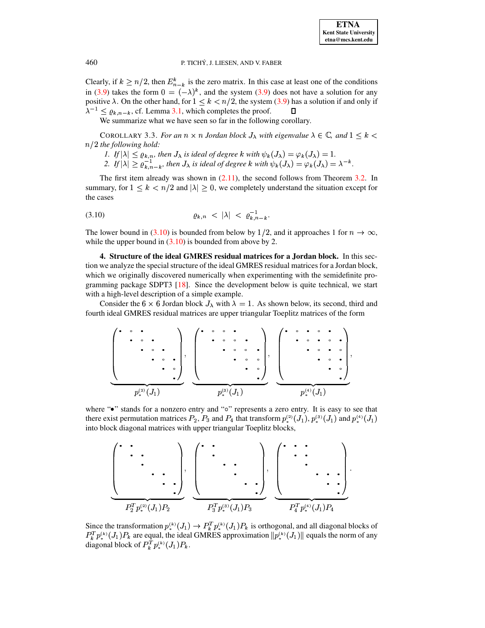Clearly, if  $k \geq n/2$ , then  $E_{n-k}^k$  is the zero matrix. In this case at least one of the conditions in [\(3.9\)](#page-6-3) takes the form  $0 = (-\lambda)^k$ , and the system (3.9) does not have a solution for any positive  $\lambda$ . On the other hand, for  $1 \leq k < n/2$ , the system [\(3.9\)](#page-6-3) has a solution if and only if  $\lambda^{-1} \leq \varrho_{k,n-k}$ , cf. Lemma [3.1,](#page-5-5) which completes the proof.  $\Box$ 

We summarize what we have seen so far in the following corollary.

COROLLARY 3.3. *For an*  $n \times n$  *Jordan block*  $J_{\lambda}$  *with eigenvalue*  $\lambda \in \mathbb{C}$ *, and*  $1 \leq k$  < d% *the following hold:*

- *1.* If  $|\lambda| \leq \varrho_{k,n}$ , then  $J_\lambda$  is ideal of degree  $k$  with  $\psi_k(J_\lambda) = \varphi_k(J_\lambda) = 1$ .
- 2. If  $|\lambda| \geq \varrho_{k,n-k}^{-1}$ , then  $J_\lambda$  is ideal of degree  $k$  with  $\psi_k(J_\lambda) = \varphi_k(J_\lambda) = \lambda^{-k}$ .

The first item already was shown in  $(2.11)$ , the second follows from Theorem [3.2.](#page-6-4) In summary, for  $1 \leq k < n/2$  and  $|\lambda| \geq 0$ , we completely understand the situation except for the cases

<span id="page-7-1"></span>
$$
(3.10) \t\t \t\t \rho_{k,n} < |\lambda| < \rho_{k,n-k}^{-1}.
$$

The lower bound in [\(3.10\)](#page-7-1) is bounded from below by 1/2, and it approaches 1 for  $n \to \infty$ , while the upper bound in  $(3.10)$  is bounded from above by 2.

<span id="page-7-0"></span>**4. Structure of the ideal GMRES residual matrices for a Jordan block.** In this section we analyze the special structure of the ideal GMRES residual matrices for a Jordan block, which we originally discovered numerically when experimenting with the semidefinite programming package SDPT3 [\[18\]](#page-20-11). Since the development below is quite technical, we start with a high-level description of a simple example.

Consider the 6  $\times$  6 Jordan block  $J_{\lambda}$  with  $\lambda = 1$ . As shown below, its second, third and fourth ideal GMRES residual matrices are upper triangular Toeplitz matrices of the form

¹Å òxóâòòâóôòòôóôòòôóâòòâó»<sup>Æ</sup> ö°÷ <sup>ø</sup> ?2túù <sup>u</sup> ¹Å òâóâóxòòâóxóûòòxóâó <sup>ò</sup> òûóûóòûó»<sup>Æ</sup> ö°÷ <sup>ø</sup> ?Wtúü <sup>u</sup> ¹Å òôóâòôóôòòâóôòôóâòòôóôòâóòôóâòòâó»<sup>Æ</sup> ö¢÷ <sup>ø</sup> <sup>ý</sup> <sup>u</sup>

where "•" stands for a nonzero entry and "o" represents a zero entry. It is easy to see that there exist permutation matrices  $P_2$ ,  $P_3$  and  $P_4$  that transform  $p_*^{(2)}(J_1)$ ,  $p_*^{(3)}(J_1)$  and  $p_*^{(4)}(J_1)$ into block diagonal matrices with upper triangular Toeplitz blocks,



Since the transformation  $p_{\ast}^{(k)}(J_1) \to P_k^T p_{\ast}^{(k)}(J_1) P_k$  is a  $\mathbb{E}_{k}^{T} p_{*}^{(k)}(J_{1}) P_{k}$  is orthogonal, and all diagonal blocks of  $P_{k}^{T} p^{(k)}(J_{1}) P_{k}$  are  $\|p_*^{(T)}(J_1)P_k\|$  are equal, the ideal GMRES approximation  $\|p_*^{(k)}(J_1)\|$  equals the norm of any diagonal block of  $P_k^T p_{\ast}^{(k)}(J_1) P_k$ .  $p_{k}^{T} p_{*}^{(k)}(J_{1}) P_{k}.$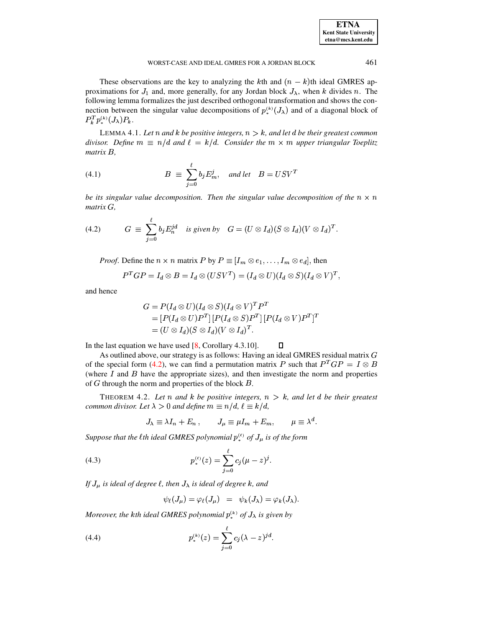**ETNA Kent State University**  $etna@mcs. kent.edu$ 

#### WORST-CASE AND IDEAL GMRES FOR A JORDAN BLOCK

These observations are the key to analyzing the kth and  $(n - k)$ th ideal GMRES approximations for  $J_1$  and, more generally, for any Jordan block  $J_{\lambda}$ , when k divides n. The following lemma formalizes the just described orthogonal transformation and shows the connection between the singular value decompositions of  $p_{\ast}^{(k)}(J_{\lambda})$  and of a diagonal block of  $P_k^T p_{*}^{(k)}(J_{\lambda}) P_k.$ 

<span id="page-8-3"></span>LEMMA 4.1. Let n and k be positive integers,  $n > k$ , and let d be their greatest common divisor. Define  $m \equiv n/d$  and  $\ell = k/d$ . Consider the  $m \times m$  upper triangular Toeplitz  $matrix B$ ,

(4.1) 
$$
B \equiv \sum_{j=0}^{\ell} b_j E_m^j, \text{ and let } B = USV^T
$$

be its singular value decomposition. Then the singular value decomposition of the  $n \times n$  $matrix\ G$ .

<span id="page-8-0"></span>(4.2) 
$$
G \equiv \sum_{j=0}^{\ell} b_j E_n^{jd} \text{ is given by } G = (U \otimes I_d)(S \otimes I_d)(V \otimes I_d)^T
$$

*Proof.* Define the  $n \times n$  matrix P by  $P \equiv [I_m \otimes e_1, \ldots, I_m \otimes e_d]$ , then

$$
P^TGP = I_d \otimes B = I_d \otimes (USV^T) = (I_d \otimes U)(I_d \otimes S)(I_d \otimes V)^T,
$$

and hence

$$
G = P(I_d \otimes U)(I_d \otimes S)(I_d \otimes V)^T P^T
$$
  
= 
$$
[P(I_d \otimes U)P^T][P(I_d \otimes S)P^T][P(I_d \otimes V)P^T]^T
$$
  
= 
$$
(U \otimes I_d)(S \otimes I_d)(V \otimes I_d)^T.
$$

In the last equation we have used  $[8, Corollary 4.3.10]$ .

As outlined above, our strategy is as follows: Having an ideal GMRES residual matrix  $G$ of the special form (4.2), we can find a permutation matrix P such that  $P^T G P = I \otimes B$ (where  $I$  and  $B$  have the appropriate sizes), and then investigate the norm and properties of  $G$  through the norm and properties of the block  $B$ .

 $\Box$ 

<span id="page-8-4"></span>THEOREM 4.2. Let n and k be positive integers,  $n > k$ , and let d be their greatest common divisor. Let  $\lambda > 0$  and define  $m \equiv n/d$ ,  $\ell \equiv k/d$ ,

<span id="page-8-1"></span>
$$
J_{\lambda} \equiv \lambda I_n + E_n , \qquad J_{\mu} \equiv \mu I_m + E_m , \qquad \mu \equiv \lambda^d.
$$

Suppose that the lth ideal GMRES polynomial  $p_{\ast}^{(t)}$  of  $J_{\mu}$  is of the form

(4.3) 
$$
p_*^{(\ell)}(z) = \sum_{j=0}^{\ell} c_j (\mu - z)^j
$$

If  $J_{\mu}$  is ideal of degree  $\ell$ , then  $J_{\lambda}$  is ideal of degree k, and

$$
\psi_{\ell}(J_{\mu}) = \varphi_{\ell}(J_{\mu}) = \psi_{k}(J_{\lambda}) = \varphi_{k}(J_{\lambda}).
$$

Moreover, the kth ideal GMRES polynomial  $p_{*}^{(k)}$  of  $J_{\lambda}$  is given by

<span id="page-8-2"></span>(4.4) 
$$
p_*^{(k)}(z) = \sum_{j=0}^{\ell} c_j (\lambda - z)^{jd}.
$$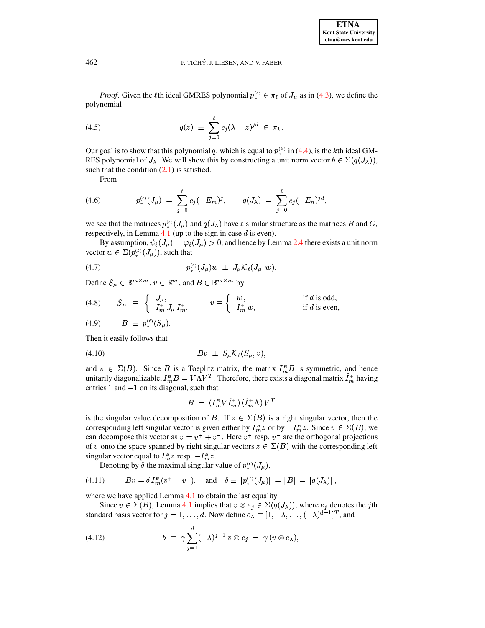*Proof.* Given the  $\ell$ th ideal GMRES polynomial  $p_{\ast}^{(\ell)} \in \pi_{\ell}$  of  $J_{\mu}$  as in (4.3), we define the polynomial

<span id="page-9-2"></span>(4.5) 
$$
q(z) \equiv \sum_{j=0}^{\ell} c_j (\lambda - z)^{jd} \in \pi_k
$$

Our goal is to show that this polynomial q, which is equal to  $p_{\ast}^{(k)}$  in (4.4), is the kth ideal GM-RES polynomial of  $J_{\lambda}$ . We will show this by constructing a unit norm vector  $b \in \Sigma(q(J_{\lambda})),$ such that the condition  $(2.1)$  is satisfied.

From

(4.6) 
$$
p_*^{(\ell)}(J_\mu) = \sum_{j=0}^{\ell} c_j (-E_m)^j, \qquad q(J_\lambda) = \sum_{j=0}^{\ell} c_j (-E_n)^{jd},
$$

we see that the matrices  $p_*^{(t)}(J_\mu)$  and  $q(J_\lambda)$  have a similar structure as the matrices B and G, respectively, in Lemma 4.1 (up to the sign in case  $d$  is even).

By assumption,  $\psi_{\ell}(J_{\mu}) = \varphi_{\ell}(J_{\mu}) > 0$ , and hence by Lemma 2.4 there exists a unit norm vector  $w \in \Sigma(p_{\ast}^{(\ell)}(J_{\mu}))$ , such that

(4.7) 
$$
p_*^{(\ell)}(J_{\mu})w \perp J_{\mu} \mathcal{K}_{\ell}(J_{\mu},w).
$$

Define  $S_{\mu} \in \mathbb{R}^{m \times m}$ ,  $v \in \mathbb{R}^m$ , and  $B \in \mathbb{R}^{m \times m}$  by

(4.8) 
$$
S_{\mu} \equiv \begin{cases} J_{\mu}, \\ I_{m}^{\pm} J_{\mu} I_{m}^{\pm}, \end{cases} \qquad v \equiv \begin{cases} w, \\ I_{m}^{\pm} w, \end{cases} \qquad \text{if } d \text{ is odd,}
$$

(4.9) 
$$
B \equiv p_*^{(\ell)}(S_\mu).
$$

Then it easily follows that

<span id="page-9-1"></span>

and  $v \in \Sigma(B)$ . Since B is a Toeplitz matrix, the matrix  $I_m^B B$  is symmetric, and hence unitarily diagonalizable,  $I_m^B B = V \Lambda V^T$ . Therefore, there exists a diagonal matrix  $I_m^{\pm}$  having entries  $1$  and  $-1$  on its diagonal, such that

$$
B = (I_m^B V \hat{I}_m^{\pm}) (\hat{I}_m^{\pm} \Lambda) V^T
$$

is the singular value decomposition of B. If  $z \in \Sigma(B)$  is a right singular vector, then the corresponding left singular vector is given either by  $I_m^B z$  or by  $-I_m^B z$ . Since  $v \in \Sigma(B)$ , we can decompose this vector as  $v = v^+ + v^-$ . Here  $v^+$  resp.  $v^-$  are the orthogonal projections of v onto the space spanned by right singular vectors  $z \in \Sigma(B)$  with the corresponding left singular vector equal to  $I_m^B z$  resp.  $-I_m^B z$ .

Denoting by  $\delta$  the maximal singular value of  $p_{\ast}^{(\ell)}(J_{\mu}),$ 

<span id="page-9-0"></span>(4.11) 
$$
Bv = \delta I_m^B (v^+ - v^-), \text{ and } \delta \equiv ||p_*^{(\ell)}(J_\mu)|| = ||B|| = ||q(J_\lambda)||,
$$

where we have applied Lemma 4.1 to obtain the last equality.

Since  $v \in \Sigma(B)$ , Lemma 4.1 implies that  $v \otimes e_j \in \Sigma(q(J_\lambda))$ , where  $e_j$  denotes the jth standard basis vector for  $j = 1, ..., d$ . Now define  $e_{\lambda} \equiv [1, -\lambda, ..., (-\lambda)^{d-1}]^T$ , and

(4.12) 
$$
b \equiv \gamma \sum_{j=1}^{d} (-\lambda)^{j-1} v \otimes e_j = \gamma (v \otimes e_\lambda),
$$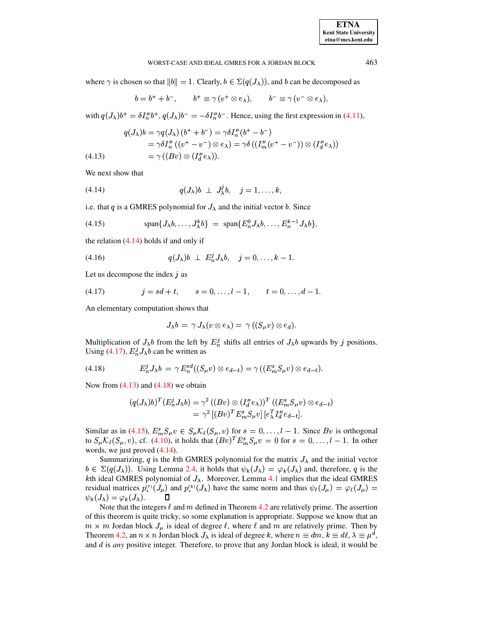#### WORST-CASE AND IDEAL GMRES FOR A JORDAN BLOCK

where  $\gamma$  is chosen so that  $||b|| = 1$ . Clearly,  $b \in \Sigma(q(J_\lambda))$ , and b can be decomposed as

$$
b = b^+ + b^-, \qquad b^+ \equiv \gamma (v^+ \otimes e_\lambda), \qquad b^- \equiv \gamma (v^- \otimes e_\lambda),
$$

with  $q(J_\lambda)b^+ = \delta I_n^B b^+, q(J_\lambda)b^- = -\delta I_n^B b^-.$  Hence, using the first expression in (4.11),

<span id="page-10-2"></span>(4.13) 
$$
q(J_{\lambda})b = \gamma q(J_{\lambda}) (b^{+} + b^{-}) = \gamma \delta I_{n}^{B} (b^{+} - b^{-})
$$

$$
= \gamma \delta I_{n}^{B} ((v^{+} - v^{-}) \otimes e_{\lambda}) = \gamma \delta ((I_{m}^{B} (v^{+} - v^{-})) \otimes (I_{d}^{B} e_{\lambda}))
$$

$$
= \gamma ((Bv) \otimes (I_{d}^{B} e_{\lambda})).
$$

We next show that

<span id="page-10-0"></span>
$$
(4.14) \t q(J_{\lambda})b \perp J_{\lambda}^{j}b, \quad j=1,\ldots,k,
$$

i.e. that q is a GMRES polynomial for  $J_{\lambda}$  and the initial vector b. Since

<span id="page-10-4"></span>(4.15) 
$$
\text{span}\{J_{\lambda}b,\ldots,J_{\lambda}^kb\} = \text{span}\{E_n^0J_{\lambda}b,\ldots,E_n^{k-1}J_{\lambda}b\},
$$

the relation  $(4.14)$  holds if and only if

$$
(4.16) \t q(J_{\lambda})b \perp E_n^j J_{\lambda}b, \t j=0,\ldots,k-1.
$$

Let us decompose the index  $j$  as

<span id="page-10-1"></span>
$$
(4.17) \t j = sd+t, \t s = 0, \ldots, l-1, \t t = 0, \ldots, d-1.
$$

An elementary computation shows that

$$
J_{\lambda}b = \gamma J_{\lambda}(v \otimes e_{\lambda}) = \gamma ((S_{\mu}v) \otimes e_d).
$$

Multiplication of  $J_{\lambda}b$  from the left by  $E_n^j$  shifts all entries of  $J_{\lambda}b$  upwards by j positions. Using (4.17),  $E_n^j J_\lambda b$  can be written as

<span id="page-10-3"></span>
$$
(4.18) \tE_n^j J_\lambda b = \gamma E_n^{sd}((S_\mu v) \otimes e_{d-t}) = \gamma ((E_m^s S_\mu v) \otimes e_{d-t}).
$$

Now from  $(4.13)$  and  $(4.18)$  we obtain

$$
(q(J_{\lambda})b)^{T}(E_{n}^{j}J_{\lambda}b) = \gamma^{2}((Bv) \otimes (I_{d}^{B}e_{\lambda}))^{T}((E_{m}^{s}S_{\mu}v) \otimes e_{d-t})
$$
  
= 
$$
\gamma^{2}[(Bv)^{T}E_{m}^{s}S_{\mu}v][e_{\lambda}^{T}I_{d}^{B}e_{d-t}].
$$

Similar as in (4.15),  $E_m^s S_\mu v \in S_\mu \mathcal{K}_\ell(S_\mu, v)$  for  $s = 0, \ldots, l-1$ . Since Bv is orthogonal to  $S_{\mu} \mathcal{K}_{\ell}(S_{\mu}, v)$ , cf. (4.10), it holds that  $(Bv)^{T} E_{m}^{s} S_{\mu} v = 0$  for  $s = 0, \ldots, l-1$ . In other words, we just proved  $(4.14)$ .

Summarizing, q is the kth GMRES polynomial for the matrix  $J_{\lambda}$  and the initial vector  $b \in \Sigma(q(J_{\lambda}))$ . Using Lemma 2.4, it holds that  $\psi_k(J_{\lambda}) = \varphi_k(J_{\lambda})$  and, therefore, q is the kth ideal GMRES polynomial of  $J_{\lambda}$ . Moreover, Lemma 4.1 implies that the ideal GMRES residual matrices  $p_{*}^{(\ell)}(J_{\mu})$  and  $p_{*}^{(k)}(J_{\lambda})$  have the same norm and thus  $\psi_{\ell}(J_{\mu}) = \varphi_{\ell}(J_{\mu}) =$  $\psi_k(J_\lambda) = \varphi_k(J_\lambda).$ Л

Note that the integers  $\ell$  and m defined in Theorem 4.2 are relatively prime. The assertion of this theorem is quite tricky, so some explanation is appropriate. Suppose we know that an  $m \times m$  Jordan block  $J_{\mu}$  is ideal of degree  $\ell$ , where  $\ell$  and  $m$  are relatively prime. Then by Theorem 4.2, an  $n \times n$  Jordan block  $J_{\lambda}$  is ideal of degree k, where  $n \equiv dm$ ,  $k \equiv d\ell$ ,  $\lambda \equiv \mu^d$ , and  $d$  is *any* positive integer. Therefore, to prove that any Jordan block is ideal, it would be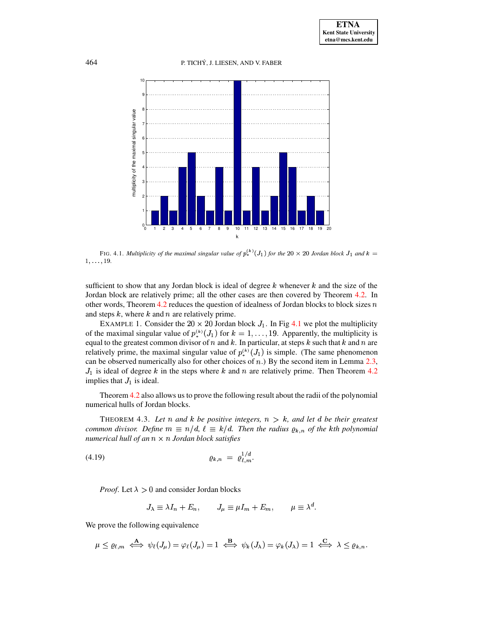

<span id="page-11-0"></span>FIG. 4.1. Multiplicity of the maximal singular value of  $p_*^{(k)}(J_1)$  for the 20  $\times$  20 Jordan block  $J_1$  and  $k =$  $1, \ldots, 19.$ 

sufficient to show that any Jordan block is ideal of degree  $k$  whenever  $k$  and the size of the Jordan block are relatively prime; all the other cases are then covered by Theorem 4.2. In other words, Theorem 4.2 reduces the question of idealness of Jordan blocks to block sizes  $n$ and steps  $k$ , where  $k$  and  $n$  are relatively prime.

EXAMPLE 1. Consider the 20  $\times$  20 Jordan block  $J_1$ . In Fig 4.1 we plot the multiplicity of the maximal singular value of  $p_{\ast}^{(k)}(J_1)$  for  $k = 1, ..., 19$ . Apparently, the multiplicity is equal to the greatest common divisor of n and k. In particular, at steps k such that k and n are relatively prime, the maximal singular value of  $p_{\ast}^{(k)}(J_1)$  is simple. (The same phenomenon can be observed numerically also for other choices of  $n$ .) By the second item in Lemma 2.3,  $J_1$  is ideal of degree k in the steps where k and n are relatively prime. Then Theorem 4.2 implies that  $J_1$  is ideal.

Theorem 4.2 also allows us to prove the following result about the radii of the polynomial numerical hulls of Jordan blocks.

<span id="page-11-2"></span>THEOREM 4.3. Let n and k be positive integers,  $n > k$ , and let d be their greatest common divisor. Define  $m \equiv n/d$ ,  $\ell \equiv k/d$ . Then the radius  $\varrho_{k,n}$  of the kth polynomial numerical hull of an  $n \times n$  Jordan block satisfies

$$
Q_{k,n} = \varrho_{\ell,m}^{1/d}.
$$

*Proof.* Let  $\lambda > 0$  and consider Jordan blocks

<span id="page-11-1"></span>
$$
J_{\lambda} \equiv \lambda I_n + E_n, \qquad J_{\mu} \equiv \mu I_m + E_m, \qquad \mu \equiv \lambda^d.
$$

We prove the following equivalence

$$
\mu \leq \varrho_{\ell,m} \iff \psi_{\ell}(J_{\mu}) = \varphi_{\ell}(J_{\mu}) = 1 \iff \psi_{k}(J_{\lambda}) = \varphi_{k}(J_{\lambda}) = 1 \iff \lambda \leq \varrho_{k,n}.
$$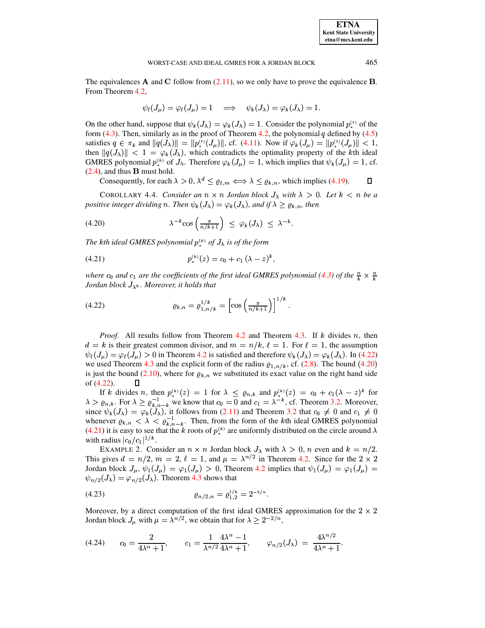**Kent State University**  $etna@mcs. kent.edu$ 

**ETNA** 

#### WORST-CASE AND IDEAL GMRES FOR A JORDAN BLOCK

The equivalences  $\bf{A}$  and  $\bf{C}$  follow from (2.11), so we only have to prove the equivalence  $\bf{B}$ . From Theorem 4.2,

$$
\psi_{\ell}(J_{\mu}) = \varphi_{\ell}(J_{\mu}) = 1 \quad \Longrightarrow \quad \psi_{k}(J_{\lambda}) = \varphi_{k}(J_{\lambda}) = 1.
$$

On the other hand, suppose that  $\psi_k(J_\lambda) = \varphi_k(J_\lambda) = 1$ . Consider the polynomial  $p_{\lambda}^{(\ell)}$  of the form  $(4.3)$ . Then, similarly as in the proof of Theorem 4.2, the polynomial q defined by  $(4.5)$ satisfies  $q \in \pi_k$  and  $||q(J_\lambda)|| = ||p_*^{(\ell)}(J_\mu)||$ , cf. (4.11). Now if  $\varphi_k(J_\mu) = ||p_*^{(\ell)}(J_\mu)|| < 1$ , then  $||q(J_\lambda)|| < 1 = \varphi_k(J_\lambda)$ , which contradicts the optimality property of the kth ideal GMRES polynomial  $p_*^{(k)}$  of  $J_\lambda$ . Therefore  $\varphi_k(J_u) = 1$ , which implies that  $\psi_k(J_u) = 1$ , cf.  $(2.4)$ , and thus **B** must hold.

Consequently, for each  $\lambda > 0$ ,  $\lambda^d \leq \varrho_{\ell,m} \Longleftrightarrow \lambda \leq \varrho_{k,n}$ , which implies (4.19). 0

COROLLARY 4.4. Consider an  $n \times n$  Jordan block  $J_{\lambda}$  with  $\lambda > 0$ . Let  $k < n$  be a positive integer dividing n. Then  $\psi_k(J_\lambda) = \varphi_k(J_\lambda)$ , and if  $\lambda \geq \varrho_{k,n}$ , then

<span id="page-12-1"></span>(4.20) 
$$
\lambda^{-k} \cos\left(\frac{\pi}{n/k+1}\right) \leq \varphi_k(J_\lambda) \leq \lambda^{-k}.
$$

The kth ideal GMRES polynomial  $p_{*}^{(k)}$  of  $J_{\lambda}$  is of the form

<span id="page-12-2"></span>
$$
(4.21) \t\t\t\t p_*^{(k)}(z) = c_0 + c_1 (\lambda - z)^k,
$$

where  $c_0$  and  $c_1$  are the coefficients of the first ideal GMRES polynomial (4.3) of the  $\frac{n}{k} \times \frac{n}{k}$ Jordan block  $J_{\lambda^k}$ . Moreover, it holds that

<span id="page-12-0"></span>(4.22) 
$$
\varrho_{k,n} = \varrho_{1,n/k}^{1/k} = \left[ \cos \left( \frac{\pi}{n/k+1} \right) \right]^{1/k}.
$$

*Proof.* All results follow from Theorem 4.2 and Theorem 4.3. If  $k$  divides  $n$ , then  $d = k$  is their greatest common divisor, and  $m = n/k$ ,  $\ell = 1$ . For  $\ell = 1$ , the assumption  $\psi_{\ell}(J_{\mu}) = \varphi_{\ell}(J_{\mu}) > 0$  in Theorem 4.2 is satisfied and therefore  $\psi_{k}(J_{\lambda}) = \varphi_{k}(J_{\lambda})$ . In (4.22) we used Theorem 4.3 and the explicit form of the radius  $\varrho_{1,n/k}$ , cf. (2.8). The bound (4.20) is just the bound (2.10), where for  $\rho_{k,n}$  we substituted its exact value on the right hand side of (4.22).  $\Box$ 

If k divides n, then  $p_{*}^{(k)}(z) = 1$  for  $\lambda \le \varrho_{n,k}$  and  $p_{*}^{(k)}(z) = c_0 + c_1(\lambda - z)^k$  for  $\lambda > \varrho_{n,k}$ . For  $\lambda \ge \varrho_{k,n-k}^{-1}$  we know that  $c_0 = 0$  and  $c_1 = \lambda^{-k}$ , cf. Theorem 3.2. Moreover, since  $\psi_k(J_\lambda) = \varphi_k(J_\lambda)$ , it follows from (2.11) and Theorem 3.2 that  $c_0 \neq 0$  and  $c_1 \neq 0$ whenever  $\varrho_{k,n} < \lambda < \varrho_{k,n-k}^{-1}$ . Then, from the form of the kth ideal GMRES polynomial (4.21) it is easy to see that the k roots of  $p_*^{(k)}$  are uniformly distributed on the circle around  $\lambda$ with radius  $|c_0/c_1|^{1/k}$ .

EXAMPLE 2. Consider an  $n \times n$  Jordan block  $J_{\lambda}$  with  $\lambda > 0$ , n even and  $k = n/2$ . This gives  $d = n/2$ ,  $m = 2$ ,  $\ell = 1$ , and  $\mu = \lambda^{n/2}$  in Theorem 4.2. Since for the  $2 \times 2$ Jordan block  $J_{\mu}$ ,  $\psi_1(J_{\mu}) = \varphi_1(J_{\mu}) > 0$ , Theorem 4.2 implies that  $\psi_1(J_{\mu}) = \varphi_1(J_{\mu}) =$  $\psi_{n/2}(J_{\lambda}) = \varphi_{n/2}(J_{\lambda})$ . Theorem 4.3 shows that

$$
Q_{n/2,n} = \varrho_{1,2}^{1/k} = 2^{-2/n}.
$$

Moreover, by a direct computation of the first ideal GMRES approximation for the  $2 \times 2$ Jordan block  $J_{\mu}$  with  $\mu = \lambda^{n/2}$ , we obtain that for  $\lambda \geq 2^{-2/n}$ ,

<span id="page-12-3"></span>
$$
(4.24) \t c_0 = \frac{2}{4\lambda^n + 1}, \t c_1 = \frac{1}{\lambda^{n/2}} \frac{4\lambda^n - 1}{4\lambda^n + 1}, \t \varphi_{n/2}(J_\lambda) = \frac{4\lambda^{n/2}}{4\lambda^n + 1}.
$$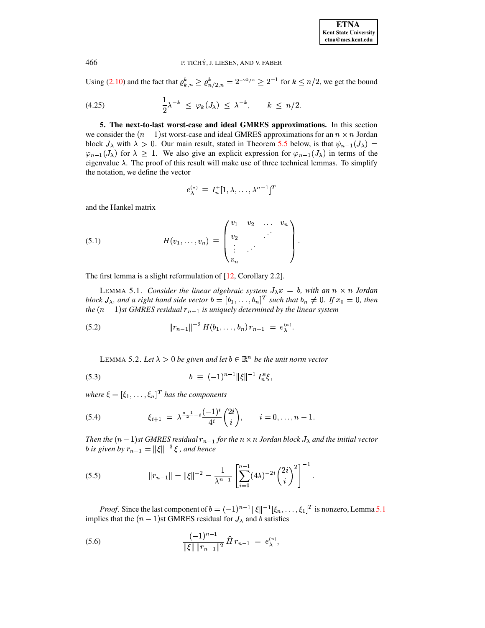Using (2.10) and the fact that  $\varrho_{k,n}^k \geq \varrho_{n/2,n}^k = 2^{-2k/n} \geq 2^{-1}$  for  $k \leq n/2$ , we get the bound

<span id="page-13-7"></span>
$$
(4.25) \qquad \frac{1}{2}\lambda^{-k} \leq \varphi_k(J_\lambda) \leq \lambda^{-k}, \qquad k \leq n/2.
$$

<span id="page-13-0"></span>5. The next-to-last worst-case and ideal GMRES approximations. In this section we consider the  $(n - 1)$ st worst-case and ideal GMRES approximations for an  $n \times n$  Jordan block  $J_{\lambda}$  with  $\lambda > 0$ . Our main result, stated in Theorem 5.5 below, is that  $\psi_{n-1}(J_{\lambda}) =$  $\varphi_{n-1}(J_\lambda)$  for  $\lambda \geq 1$ . We also give an explicit expression for  $\varphi_{n-1}(J_\lambda)$  in terms of the eigenvalue  $\lambda$ . The proof of this result will make use of three technical lemmas. To simplify the notation, we define the vector

$$
e_{\lambda}^{(n)} \equiv I_n^{\pm} [1, \lambda, \ldots, \lambda^{n-1}]^T
$$

and the Hankel matrix

(5.1) 
$$
H(v_1,...,v_n) \equiv \begin{pmatrix} v_1 & v_2 & \dots & v_n \\ v_2 & & & \\ \vdots & & & \\ v_n & & & \end{pmatrix}.
$$

<span id="page-13-1"></span>The first lemma is a slight reformulation of  $[12,$  Corollary 2.2].

LEMMA 5.1. Consider the linear algebraic system  $J_{\lambda}x = b$ , with an  $n \times n$  Jordan block  $J_{\lambda}$ , and a right hand side vector  $b = [b_1, \ldots, b_n]^T$  such that  $b_n \neq 0$ . If  $x_0 = 0$ , then the  $(n-1)$ st GMRES residual  $r_{n-1}$  is uniquely determined by the linear system

<span id="page-13-5"></span>(5.2) 
$$
||r_{n-1}||^{-2} H(b_1,\ldots,b_n) r_{n-1} = e_{\lambda}^{(n)}.
$$

<span id="page-13-6"></span>LEMMA 5.2. Let  $\lambda > 0$  be given and let  $b \in \mathbb{R}^n$  be the unit norm vector

(5.3) 
$$
b \equiv (-1)^{n-1} ||\xi||^{-1} I_n^B \xi,
$$

where  $\xi = [\xi_1, \ldots, \xi_n]^T$  has the components

<span id="page-13-2"></span>(5.4) 
$$
\xi_{i+1} = \lambda^{\frac{n-1}{2} - i} \frac{(-1)^i}{4^i} {2i \choose i}, \qquad i = 0, \ldots, n-1.
$$

Then the  $(n-1)$ st GMRES residual  $r_{n-1}$  for the  $n \times n$  Jordan block  $J_{\lambda}$  and the initial vector *b* is given by  $r_{n-1} = ||\xi||^{-3} \xi$ , and hence

<span id="page-13-4"></span>(5.5) 
$$
||r_{n-1}|| = ||\xi||^{-2} = \frac{1}{\lambda^{n-1}} \left[ \sum_{i=0}^{n-1} (4\lambda)^{-2i} {2i \choose i}^2 \right]^{-1}.
$$

*Proof.* Since the last component of  $b = (-1)^{n-1} ||\xi||^{-1} [\xi_n, \dots, \xi_1]^T$  is nonzero, Lemma 5.1 implies that the  $(n - 1)$ st GMRES residual for  $J_{\lambda}$  and b satisfies

<span id="page-13-3"></span>(5.6) 
$$
\frac{(-1)^{n-1}}{\|\xi\| \|r_{n-1}\|^2} \widehat{H} r_{n-1} = e_{\lambda}^{(n)},
$$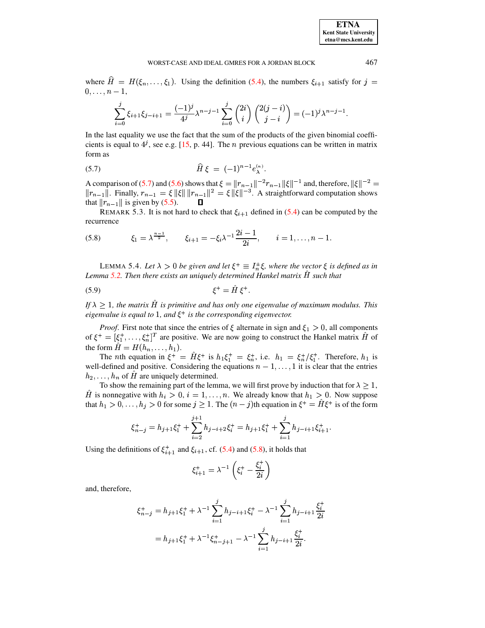where  $H = H(\xi_0, \dots, \xi_1)$ . Using the definition [\(5.4\)](#page-13-2), the numbers  $\xi_{i+1}$  satisfy for  $j =$  $\blacksquare$ ,

$$
\sum_{i=0}^{j} \xi_{i+1} \xi_{j-i+1} = \frac{(-1)^j}{4^j} \lambda^{n-j-1} \sum_{i=0}^{j} {2i \choose i} {2(j-i) \choose j-i} = (-1)^j \lambda^{n-j-1}.
$$

In the last equality we use the fact that the sum of the products of the given binomial coefficients is equal to  $4^j$ , see e.g. [\[15,](#page-20-15) p. 44]. The *n* previous equations can be written in matrix form as

<span id="page-14-0"></span>(5.7) 
$$
\hat{H}\,\xi = (-1)^{n-1}e_{\lambda}^{(n)}.
$$

A comparison of [\(5.7\)](#page-14-0) and [\(5.6\)](#page-13-3) shows that  $\xi = \|r_{n-1}\|^{-2}r_{n-1}\|\xi\|^{-1}$  and, therefore,  $\|\xi\|^{-2} =$  $||r_{n-1}||$ . Finally,  $r_{n-1} = \xi ||\xi|| ||r_{n-1}||^2 = \xi ||\xi||^{-3}$ . A straightforward computation shows that  $||r_{n-1}||$  is given by [\(5.5\)](#page-13-4). O

REMARK 5.3. It is not hard to check that  $\xi_{i+1}$  defined in [\(5.4\)](#page-13-2) can be computed by the recurrence

<span id="page-14-1"></span>(5.8) 
$$
\xi_1 = \lambda^{\frac{n-1}{2}}, \qquad \xi_{i+1} = -\xi_i \lambda^{-1} \frac{2i-1}{2i}, \qquad i = 1, \ldots, n-1.
$$

<span id="page-14-2"></span>LEMMA 5.4. Let  $\lambda > 0$  be given and let  $\xi^+ \equiv I_n^{\pm} \xi$ , where the vector  $\xi$  is defined as in Lemma [5.2.](#page-13-5) Then there exists an uniquely determined Hankel matrix H such that

$$
\xi^+ = \hat{H} \xi^+.
$$

If  $\lambda \geq 1$ , the matrix H is primitive and has only one eigenvalue of maximum modulus. This *eigenvalue is equal to* 1, *and*  $\xi^+$  *is the corresponding eigenvector.* 

*Proof.* First note that since the entries of  $\xi$  alternate in sign and  $\xi_1 > 0$ , all components of  $\xi^+ = [\xi_1^+, \ldots, \xi_n^+]^T$  are positive. We are now going to construct the Hankel matrix H of the form  $H = H(h_n, \ldots, h_1)$ .

The *n*th equation in  $\xi^+ = H\xi^+$  is  $h_1\xi_1^+ = \xi_n^+$ , i.e.  $h_1 = \xi_n^+/\xi_1^+$ . Therefore,  $h_1$  is well-defined and positive. Considering the equations  $n=1,\ldots,1$  it is clear that the entries  $h_2, \ldots, h_n$  of H are uniquely determined.

To show the remaining part of the lemma, we will first prove by induction that for  $\lambda > 1$ , H is nonnegative with  $h_i > 0$ ,  $i = 1, \ldots, n$ . We already know that  $h_1 > 0$ . Now suppose that  $h_1 > 0, \ldots, h_j > 0$  for some  $j \geq 1$ . The  $(n - j)$ th equation in  $\xi^+ = H\xi^+$  is of the form

$$
\xi_{n-j}^+ = h_{j+1}\xi_1^+ + \sum_{i=2}^{j+1} h_{j-i+2}\xi_i^+ = h_{j+1}\xi_1^+ + \sum_{i=1}^{j} h_{j-i+1}\xi_{i+1}^+.
$$

Using the definitions of  $\xi_{i+1}^+$  and  $\xi_{i+1}$ , cf. [\(5.4\)](#page-13-2) and [\(5.8\)](#page-14-1), it holds that

$$
\xi_{i+1}^+ = \lambda^{-1}\left(\xi_i^+ - \frac{\xi_i^+}{2i}\right)
$$

and, therefore,

$$
\xi_{n-j}^+ = h_{j+1}\xi_1^+ + \lambda^{-1} \sum_{i=1}^j h_{j-i+1}\xi_i^+ - \lambda^{-1} \sum_{i=1}^j h_{j-i+1} \frac{\xi_i^+}{2i}
$$
  
=  $h_{j+1}\xi_1^+ + \lambda^{-1}\xi_{n-j+1}^+ - \lambda^{-1} \sum_{i=1}^j h_{j-i+1} \frac{\xi_i^+}{2i}.$ 

**ETNA Kent State University etna@mcs.kent.edu**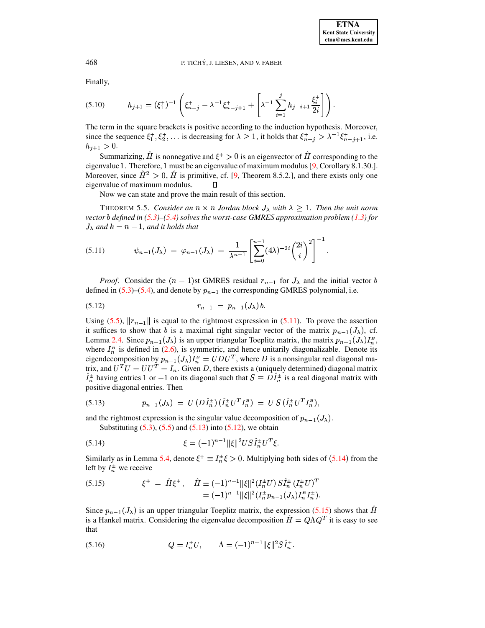Finally,

$$
(5.10) \t\t h_{j+1} = (\xi_1^+)^{-1} \left( \xi_{n-j}^+ - \lambda^{-1} \xi_{n-j+1}^+ + \left[ \lambda^{-1} \sum_{i=1}^j h_{j-i+1} \frac{\xi_i^+}{2i} \right] \right).
$$

The term in the square brackets is positive according to the induction hypothesis. Moreover, since the sequence  $\xi_1^+, \xi_2^+, \ldots$  is decreasing for  $\lambda \geq 1$ , it holds that  $\xi_{n-j}^+ > \lambda^{-1} \xi_{n-j+1}^+$ , i.e.  $h_{j+1} > 0.$ 

Summarizing, H is nonnegative and  $\xi^+ > 0$  is an eigenvector of H corresponding to the eigenvalue 1. Therefore, 1 must be an eigenvalue of maximum modulus [\[9,](#page-20-16) Corollary 8.1.30.]. Moreover, since  $H^2 > 0$ , H is primitive, cf. [\[9,](#page-20-16) Theorem 8.5.2.], and there exists only one eigenvalue of maximum modulus.  $\Box$ 

Now we can state and prove the main result of this section.

<span id="page-15-0"></span>THEOREM 5.5. *Consider an*  $n \times n$  *Jordan block*  $J_{\lambda}$  *with*  $\lambda \geq 1$ *. Then the unit norm vector defined in [\(5.3\)](#page-13-6)–[\(5.4\)](#page-13-2) solves the worst-case GMRES approximation problem [\(1.3\)](#page-0-1) for*  $J_{\lambda}$  and  $k = n - 1$ , and it holds that

<span id="page-15-1"></span>
$$
(5.11) \t\t \psi_{n-1}(J_{\lambda}) = \varphi_{n-1}(J_{\lambda}) = \frac{1}{\lambda^{n-1}} \left[ \sum_{i=0}^{n-1} (4\lambda)^{-2i} {2i \choose i}^2 \right]^{-1}.
$$

*Proof.* Consider the  $(n-1)$ st GMRES residual  $r_{n-1}$  for  $J_\lambda$  and the initial vector b defined in  $(5.3)$ – $(5.4)$ , and denote by  $p_{n-1}$  the corresponding GMRES polynomial, i.e.

<span id="page-15-3"></span>\* VW ? <sup>A</sup> (5.12) ,&

Using [\(5.5\)](#page-13-4),  $||r_{n-1}||$  is equal to the rightmost expression in [\(5.11\)](#page-15-1). To prove the assertion it suffices to show that b is a maximal right singular vector of the matrix  $p_{n-1}(J_\lambda)$ , cf. Lemma [2.4.](#page-3-2) Since  $p_{n-1}(J_\lambda)$  is an upper triangular Toeplitz matrix, the matrix  $p_{n-1}(J_\lambda)I_n^B$ , , where  $I_n^B$  is defined in [\(2.6\)](#page-4-2), is symmetric, and hence unitarily diagonalizable. Denote its eigendecomposition by  $p_{n-1}(J_\lambda)I_n^B = UDU^T$ , where D is a nonsingular real diagonal matrix, and  $U^T U = U U^T = I_n$ . Given D, there exists a (uniquely determined) diagonal matrix  $I_n^{\pm}$  having entries 1 or  $-1$  on its diagonal such that  $S \equiv D I_n^{\pm}$  is a real diagonal matrix with positive diagonal entries. Then

<span id="page-15-2"></span>(5.13) 
$$
p_{n-1}(J_{\lambda}) = U(D\hat{I}_n^{\pm}) (\hat{I}_n^{\pm} U^T I_n^B) = U S(\hat{I}_n^{\pm} U^T I_n^B),
$$

and the rightmost expression is the singular value decomposition of  $p_{n-1}(J_\lambda)$ . Substituting  $(5.3)$ ,  $(5.5)$  and  $(5.13)$  into  $(5.12)$ , we obtain

<span id="page-15-4"></span>(5.14) 
$$
\xi = (-1)^{n-1} \|\xi\|^2 US\hat{I}_n^{\pm} U^T \xi.
$$

Similarly as in Lemma [5.4,](#page-14-2) denote  $\xi^+ \equiv I_n^{\pm} \xi > 0$ . Multiplying both sides of ([5.14](#page-15-4)) from the left by  $I_n^{\pm}$  we receive

<span id="page-15-5"></span>(5.15) 
$$
\xi^+ = \hat{H}\xi^+, \quad \hat{H} \equiv (-1)^{n-1} \|\xi\|^2 (I_n^{\pm} U) S \hat{I}_n^{\pm} (I_n^{\pm} U)^T = (-1)^{n-1} \|\xi\|^2 (I_n^{\pm} p_{n-1} (J_\lambda) I_n^B I_n^{\pm}).
$$

Since  $p_{n-1}(J_\lambda)$  is an upper triangular Toeplitz matrix, the expression [\(5.15\)](#page-15-5) shows that H is a Hankel matrix. Considering the eigenvalue decomposition  $H = Q\Lambda Q^T$  it is easy to see that

(5.16) 
$$
Q = I_n^{\pm} U, \qquad \Lambda = (-1)^{n-1} ||\xi||^2 S I_n^{\pm}.
$$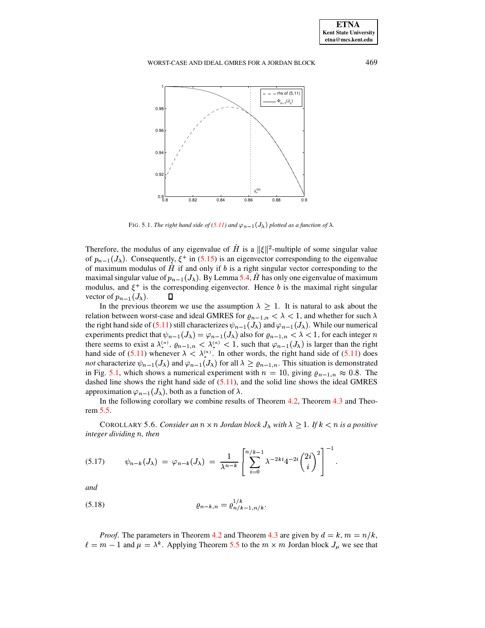

FIG. 5.1. *The right hand side of* [\(5.11\)](#page-15-1) *and*  $\varphi_{n-1}(J_\lambda)$  *plotted as a function of*  $\lambda$ .

<span id="page-16-0"></span>Therefore, the modulus of any eigenvalue of H is a  $\|\xi\|^2$ -multiple of some singular value of  $p_{n-1}(J_\lambda)$ . Consequently,  $\xi^+$  in [\(5.15\)](#page-15-5) is an eigenvector corresponding to the eigenvalue of maximum modulus of  $H$  if and only if  $b$  is a right singular vector corresponding to the maximal singular value of  $p_{n-1}(J_\lambda)$ . By Lemma [5.4,](#page-14-2) H has only one eigenvalue of maximum modulus, and  $\xi^+$  is the corresponding eigenvector. Hence b is the maximal right singular vector of  $p_{n-1}(J_\lambda)$ .  $\qquad \Box$ 

In the previous theorem we use the assumption  $\lambda > 1$ . It is natural to ask about the relation between worst-case and ideal GMRES for  $\varrho_{n-1,n} < \lambda < 1$ , and whether for such  $\lambda$ the right hand side of [\(5.11\)](#page-15-1) still characterizes  $\psi_{n-1}(J_\lambda)$  and  $\varphi_{n-1}(J_\lambda)$ . While our numerical experiments predict that  $\psi_{n-1}(J_\lambda) = \varphi_{n-1}(J_\lambda)$  also for  $\varrho_{n-1,n} < \lambda < 1$ , for each integer n there seems to exist a  $\lambda_*^{(n)}$ ,  $\varrho_{n-1,n}$ j  $u_{*}^{(n)}, \varrho_{n-1,n} < \lambda_{*}^{(n)} < 1$ , su <u>je za obrazovan za obrazovan za obrazovan za obrazovan za obrazovan za obrazovan za obrazovan za obrazovan za</u>  $\mathcal{L}_{\alpha}^{(n)}$  < 1, such that  $\varphi_{n-1}(J_{\lambda})$  is larger than the right hand side of [\(5.11\)](#page-15-1) whenever  $\lambda < \lambda_*^{(n)}$ . In other  $\binom{n}{*}$ . In other words, the right hand side of  $(5.11)$  does *not* characterize  $\psi_{n-1}(J_\lambda)$  and  $\varphi_{n-1}(J_\lambda)$  for all  $\lambda \geq \varrho_{n-1,n}$ . This situation is demonstrated in Fig. [5.1,](#page-16-0) which shows a numerical experiment with  $n = 10$ , giving  $\varrho_{n-1,n} \approx 0.8$ . The dashed line shows the right hand side of [\(5.11\)](#page-15-1), and the solid line shows the ideal GMRES approximation  $\varphi_{n-1}(J_\lambda)$ , both as a function of  $\lambda$ .

In the following corollary we combine results of Theorem [4.2,](#page-8-4) Theorem [4.3](#page-11-2) and Theorem [5.5.](#page-15-0)

**COROLLARY 5.6.** Consider an  $n \times n$  Jordan block  $J_{\lambda}$  with  $\lambda > 1$ . If  $k < n$  is a positive *integer dividing , then*

<span id="page-16-2"></span>
$$
(5.17) \qquad \psi_{n-k}(J_{\lambda}) = \varphi_{n-k}(J_{\lambda}) = \frac{1}{\lambda^{n-k}} \left[ \sum_{i=0}^{n/k-1} \lambda^{-2ki} 4^{-2i} \binom{2i}{i}^2 \right]^{-1}.
$$

*and*

<span id="page-16-1"></span>(5.18) 
$$
\varrho_{n-k,n} = \varrho_{n/k-1,n/k}^{1/k}.
$$

*Proof.* The parameters in Theorem [4.2](#page-8-4) and Theorem [4.3](#page-11-2) are given by  $d = k$ ,  $m = n/k$ ,  $\ell = m - 1$  and  $\mu = \lambda^k$ . Applying Theorem [5.5](#page-15-0) to the  $m \times m$  Jordan block  $J_\mu$  we see that

**ETNA Kent State University etna@mcs.kent.edu**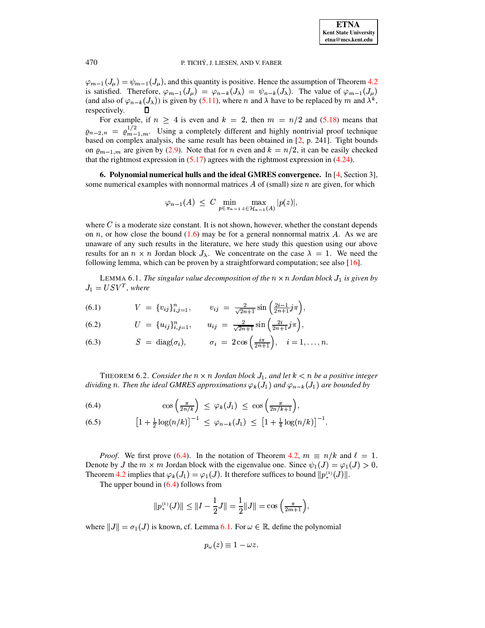$\varphi_{m-1}(J_\mu) = \psi_{m-1}(J_\mu)$ , and this quantity is positive. Hence the assumption of Theorem 4.2 is satisfied. Therefore,  $\varphi_{m-1}(J_{\mu}) = \varphi_{n-k}(J_{\lambda}) = \psi_{n-k}(J_{\lambda})$ . The value of  $\varphi_{m-1}(J_{\mu})$ (and also of  $\varphi_{n-k}(J_\lambda)$ ) is given by (5.11), where *n* and  $\lambda$  have to be replaced by *m* and  $\lambda^k$ , respectively.

For example, if  $n \geq 4$  is even and  $k = 2$ , then  $m = n/2$  and (5.18) means that  $\varrho_{n-2,n} = \varrho_{m-1,m}^{1/2}$ . Using a completely different and highly nontrivial proof technique based on complex analysis, the same result has been obtained in  $[2, p. 241]$ . Tight bounds on  $\rho_{m-1,m}$  are given by (2.9). Note that for *n* even and  $k = n/2$ , it can be easily checked that the rightmost expression in  $(5.17)$  agrees with the rightmost expression in  $(4.24)$ .

<span id="page-17-0"></span>6. Polynomial numerical hulls and the ideal GMRES convergence. In [4, Section 3], some numerical examples with nonnormal matrices A of (small) size  $n$  are given, for which

$$
\varphi_{n-1}(A) \leq C \min_{p \in \pi_{n-1}} \max_{z \in \mathcal{H}_{n-1}(A)} |p(z)|,
$$

where  $C$  is a moderate size constant. It is not shown, however, whether the constant depends on n, or how close the bound  $(1.6)$  may be for a general nonnormal matrix A. As we are unaware of any such results in the literature, we here study this question using our above results for an  $n \times n$  Jordan block  $J_{\lambda}$ . We concentrate on the case  $\lambda = 1$ . We need the following lemma, which can be proven by a straightforward computation; see also  $[16]$ .

<span id="page-17-2"></span>LEMMA 6.1. The singular value decomposition of the  $n \times n$  Jordan block  $J_1$  is given by  $J_1 = USV^T$ , where

(6.1) 
$$
V = \{v_{ij}\}_{i,j=1}^n, \qquad v_{ij} = \frac{2}{\sqrt{2n+1}}\sin\left(\frac{2i-1}{2n+1}j\pi\right),
$$

(6.2) 
$$
U = \{u_{ij}\}_{i,j=1}^n, \qquad u_{ij} = \frac{2}{\sqrt{2n+1}}\sin\left(\frac{2i}{2n+1}j\pi\right),
$$

(6.3) 
$$
S = \text{diag}(\sigma_i), \qquad \sigma_i = 2\cos\left(\frac{i\pi}{2n+1}\right), \quad i = 1,\ldots,n.
$$

THEOREM 6.2. Consider the  $n \times n$  Jordan block  $J_1$ , and let  $k < n$  be a positive integer dividing n. Then the ideal GMRES approximations  $\varphi_k(J_1)$  and  $\varphi_{n-k}(J_1)$  are bounded by

<span id="page-17-1"></span>(6.4) 
$$
\cos\left(\frac{\pi}{2n/k}\right) \leq \varphi_k(J_1) \leq \cos\left(\frac{\pi}{2n/k+1}\right),
$$

(6.5) 
$$
\left[1+\frac{1}{2}\log(n/k)\right]^{-1} \leq \varphi_{n-k}(J_1) \leq \left[1+\frac{1}{4}\log(n/k)\right]^{-1}
$$

*Proof.* We first prove (6.4). In the notation of Theorem 4.2,  $m \equiv n/k$  and  $\ell = 1$ . Denote by J the  $m \times m$  Jordan block with the eigenvalue one. Since  $\psi_1(J) = \varphi_1(J) > 0$ , Theorem 4.2 implies that  $\varphi_k(J_1) = \varphi_1(J)$ . It therefore suffices to bound  $||p_*^{(1)}(J)||$ .

The upper bound in  $(6.4)$  follows from

$$
||p_*^{(1)}(J)|| \le ||I - \frac{1}{2}J|| = \frac{1}{2}||J|| = \cos\left(\frac{\pi}{2m+1}\right),
$$

where  $||J|| = \sigma_1(J)$  is known, cf. Lemma 6.1. For  $\omega \in \mathbb{R}$ , define the polynomial

$$
p_{\omega}(z)\equiv 1-\omega z.
$$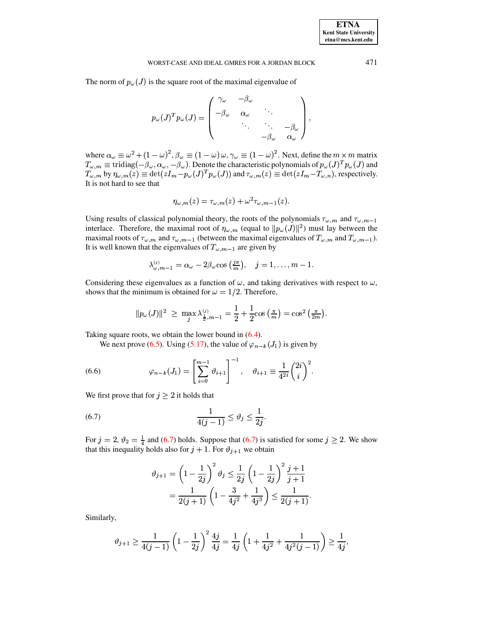#### WORST-CASE AND IDEAL GMRES FOR A JORDAN BLOCK

The norm of  $p_{\omega}(J)$  is the square root of the maximal eigenvalue of

$$
p_{\omega}(J)^{T} p_{\omega}(J) = \begin{pmatrix} \gamma_{\omega} & -\beta_{\omega} & & \\ -\beta_{\omega} & \alpha_{\omega} & & \\ & \ddots & \ddots & \\ & & -\beta_{\omega} & \\ & & & -\beta_{\omega} & \alpha_{\omega} \end{pmatrix},
$$

where  $\alpha_{\omega} \equiv \omega^2 + (1 - \omega)^2$ ,  $\beta_{\omega} \equiv (1 - \omega) \omega$ ,  $\gamma_{\omega} \equiv (1 - \omega)^2$ . Next, define the  $m \times m$  matrix  $T_{\omega,m} \equiv \text{tridiag}(-\beta_{\omega}, \alpha_{\omega}, -\beta_{\omega})$ . Denote the characteristic polynomials of  $p_{\omega}(J)^T p_{\omega}(J)$  and  $T_{\omega,m}$  by  $\eta_{\omega,m$ It is not hard to see that

$$
\eta_{\omega,m}(z)=\tau_{\omega,m}(z)+\omega^2\tau_{\omega,m-1}(z).
$$

Using results of classical polynomial theory, the roots of the polynomials  $\tau_{\omega,m}$  and  $\tau_{\omega,m-1}$ interlace. Therefore, the maximal root of  $\eta_{\omega,m}$  (equal to  $||p_{\omega}(J)||^2$ ) must lay between the maximal roots of  $\tau_{\omega,m}$  and  $\tau_{\omega,m-1}$  (between the maximal eigenvalues of  $T_{\omega,m}$  and  $T_{\omega,m-1}$ ). It is well known that the eigenvalues of  $T_{\omega, m-1}$  are given by

$$
\lambda_{\omega,m-1}^{(j)} = \alpha_{\omega} - 2\beta_{\omega}\cos\left(\frac{j\pi}{m}\right), \quad j = 1, \ldots, m-1
$$

Considering these eigenvalues as a function of  $\omega$ , and taking derivatives with respect to  $\omega$ , shows that the minimum is obtained for  $\omega = 1/2$ . Therefore,

$$
||p_{\omega}(J)||^{2} \geq \max_{j} \lambda_{\frac{1}{2},m-1}^{(j)} = \frac{1}{2} + \frac{1}{2} \cos\left(\frac{\pi}{m}\right) = \cos^{2}\left(\frac{\pi}{2m}\right).
$$

Taking square roots, we obtain the lower bound in  $(6.4)$ .

We next prove (6.5). Using (5.17), the value of  $\varphi_{n-k}(J_1)$  is given by

<span id="page-18-1"></span>(6.6) 
$$
\varphi_{n-k}(J_1) = \left[\sum_{i=0}^{m-1} \vartheta_{i+1}\right]^{-1}, \quad \vartheta_{i+1} \equiv \frac{1}{4^{2i}} \binom{2i}{i}^2
$$

We first prove that for  $j \geq 2$  it holds that

$$
\frac{1}{4(j-1)} \le \vartheta_j \le \frac{1}{2j}.
$$

For  $j = 2$ ,  $\vartheta_2 = \frac{1}{4}$  and (6.7) holds. Suppose that (6.7) is satisfied for some  $j \ge 2$ . We show that this inequality holds also for  $j + 1$ . For  $\vartheta_{j+1}$  we obtain

<span id="page-18-0"></span>
$$
\vartheta_{j+1} = \left(1 - \frac{1}{2j}\right)^2 \vartheta_j \le \frac{1}{2j} \left(1 - \frac{1}{2j}\right)^2 \frac{j+1}{j+1}
$$

$$
= \frac{1}{2(j+1)} \left(1 - \frac{3}{4j^2} + \frac{1}{4j^3}\right) \le \frac{1}{2(j+1)}
$$

Similarly,

$$
\vartheta_{j+1} \ge \frac{1}{4(j-1)} \left(1 - \frac{1}{2j}\right)^2 \frac{4j}{4j} = \frac{1}{4j} \left(1 + \frac{1}{4j^2} + \frac{1}{4j^2(j-1)}\right) \ge \frac{1}{4j},
$$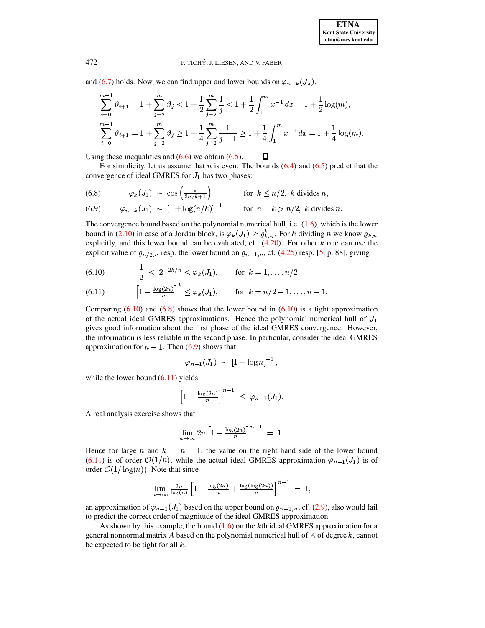and (6.7) holds. Now, we can find upper and lower bounds on  $\varphi_{n-k}(J_{\lambda})$ ,

$$
\sum_{i=0}^{m-1} \vartheta_{i+1} = 1 + \sum_{j=2}^{m} \vartheta_j \le 1 + \frac{1}{2} \sum_{j=2}^{m} \frac{1}{j} \le 1 + \frac{1}{2} \int_{1}^{m} x^{-1} dx = 1 + \frac{1}{2} \log(m),
$$
  

$$
\sum_{i=0}^{m-1} \vartheta_{i+1} = 1 + \sum_{j=2}^{m} \vartheta_j \ge 1 + \frac{1}{4} \sum_{j=2}^{m} \frac{1}{j-1} \ge 1 + \frac{1}{4} \int_{1}^{m} x^{-1} dx = 1 + \frac{1}{4} \log(m)
$$

Using these inequalities and  $(6.6)$  we obtain  $(6.5)$ .  $\Box$ 

For simplicity, let us assume that *n* is even. The bounds  $(6.4)$  and  $(6.5)$  predict that the convergence of ideal GMRES for  $J_1$  has two phases:

<span id="page-19-1"></span>(6.8) 
$$
\varphi_k(J_1) \sim \cos\left(\frac{\pi}{2n/k+1}\right)
$$
, for  $k \le n/2$ , k divides n,

(6.9) 
$$
\varphi_{n-k}(J_1) \sim [1 + \log(n/k)]^{-1}
$$
, for  $n - k > n/2$ , k divides n.

The convergence bound based on the polynomial numerical hull, i.e.  $(1.6)$ , which is the lower bound in (2.10) in case of a Jordan block, is  $\varphi_k(J_1) \geq \varrho_{k,n}^k$ . For k dividing n we know  $\varrho_{k,n}$ explicitly, and this lower bound can be evaluated, cf.  $(4.20)$ . For other k one can use the explicit value of  $\varrho_{n/2,n}$  resp. the lower bound on  $\varrho_{n-1,n}$ , cf. (4.25) resp. [5, p. 88], giving

<span id="page-19-0"></span>(6.10) 
$$
\frac{1}{2} \leq 2^{-2k/n} \leq \varphi_k(J_1), \quad \text{for } k = 1, ..., n/2,
$$

(6.11) 
$$
\left[1 - \frac{\log(2n)}{n}\right]^k \le \varphi_k(J_1), \quad \text{for } k = n/2 + 1, ..., n-1
$$

Comparing  $(6.10)$  and  $(6.8)$  shows that the lower bound in  $(6.10)$  is a tight approximation of the actual ideal GMRES approximations. Hence the polynomial numerical hull of  $J_1$ gives good information about the first phase of the ideal GMRES convergence. However, the information is less reliable in the second phase. In particular, consider the ideal GMRES approximation for  $n - 1$ . Then (6.9) shows that

$$
\varphi_{n-1}(J_1) \; \sim \; [1 + \log n]^{-1} \,,
$$

while the lower bound  $(6.11)$  yields

$$
\left[1-\frac{\log(2n)}{n}\right]^{n-1} \leq \varphi_{n-1}(J_1)
$$

A real analysis exercise shows that

$$
\lim_{n\to\infty} 2n \left[1 - \frac{\log(2n)}{n}\right]^{n-1} = 1.
$$

Hence for large n and  $k = n - 1$ , the value on the right hand side of the lower bound  $(6.11)$  is of order  $\mathcal{O}(1/n)$ , while the actual ideal GMRES approximation  $\varphi_{n-1}(J_1)$  is of order  $\mathcal{O}(1/\log(n))$ . Note that since

$$
\lim_{n\to\infty}\frac{2n}{\log(n)}\left[1-\frac{\log(2n)}{n}+\frac{\log(\log(2n))}{n}\right]^{n-1}=1,
$$

an approximation of  $\varphi_{n-1}(J_1)$  based on the upper bound on  $\varrho_{n-1,n}$ , cf. (2.9), also would fail to predict the correct order of magnitude of the ideal GMRES approximation.

As shown by this example, the bound  $(1.6)$  on the kth ideal GMRES approximation for a general nonnormal matrix A based on the polynomial numerical hull of A of degree  $k$ , cannot be expected to be tight for all  $k$ .